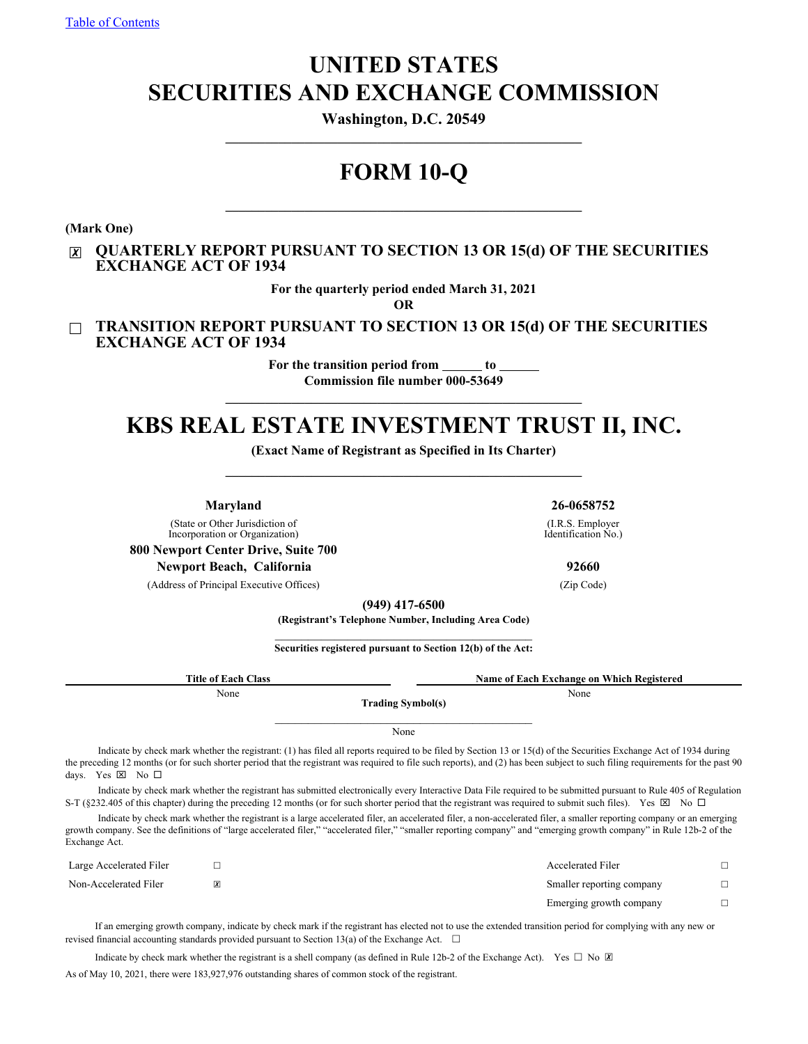# **UNITED STATES SECURITIES AND EXCHANGE COMMISSION**

**Washington, D.C. 20549**

# **FORM 10-Q**

**(Mark One)**

# ☒ **QUARTERLY REPORT PURSUANT TO SECTION 13 OR 15(d) OF THE SECURITIES EXCHANGE ACT OF 1934**

**For the quarterly period ended March 31, 2021**

**OR**

☐ **TRANSITION REPORT PURSUANT TO SECTION 13 OR 15(d) OF THE SECURITIES EXCHANGE ACT OF 1934**

> For the transition period from \_\_\_\_\_\_\_ to **Commission file number 000-53649**

# **KBS REAL ESTATE INVESTMENT TRUST II, INC.**

**(Exact Name of Registrant as Specified in Its Charter) \_\_\_\_\_\_\_\_\_\_\_\_\_\_\_\_\_\_\_\_\_\_\_\_\_\_\_\_\_\_\_\_\_\_\_\_\_\_\_\_\_\_\_\_\_\_\_\_\_\_\_\_\_\_**

**Maryland 26-0658752**

(State or Other Jurisdiction of Incorporation or Organization)

**800 Newport Center Drive, Suite 700**

**Newport Beach, California 92660**

(Address of Principal Executive Offices) (Zip Code)

**(949) 417-6500**

**(Registrant's Telephone Number, Including Area Code)**  $\mathcal{L}_\text{max}$  and  $\mathcal{L}_\text{max}$  and  $\mathcal{L}_\text{max}$  and  $\mathcal{L}_\text{max}$ 

**Securities registered pursuant to Section 12(b) of the Act:**

| <b>Title of Each Class</b> |                          | Name of Each Exchange on Which Registered |
|----------------------------|--------------------------|-------------------------------------------|
| None                       |                          | None                                      |
|                            | <b>Trading Symbol(s)</b> |                                           |
|                            |                          |                                           |
|                            | None                     |                                           |

Indicate by check mark whether the registrant: (1) has filed all reports required to be filed by Section 13 or 15(d) of the Securities Exchange Act of 1934 during the preceding 12 months (or for such shorter period that the registrant was required to file such reports), and (2) has been subject to such filing requirements for the past 90 days. Yes  $\boxtimes$  No  $\square$ 

Indicate by check mark whether the registrant has submitted electronically every Interactive Data File required to be submitted pursuant to Rule 405 of Regulation S-T (§232.405 of this chapter) during the preceding 12 months (or for such shorter period that the registrant was required to submit such files). Yes  $\boxtimes$  No  $\Box$ 

Indicate by check mark whether the registrant is a large accelerated filer, an accelerated filer, a non-accelerated filer, a smaller reporting company or an emerging growth company. See the definitions of "large accelerated filer," "accelerated filer," "smaller reporting company" and "emerging growth company" in Rule 12b-2 of the Exchange Act.

| Large Accelerated Filer |                | Accelerated Filer         |  |
|-------------------------|----------------|---------------------------|--|
| Non-Accelerated Filer   | $\overline{x}$ | Smaller reporting company |  |
|                         |                | Emerging growth company   |  |

If an emerging growth company, indicate by check mark if the registrant has elected not to use the extended transition period for complying with any new or revised financial accounting standards provided pursuant to Section 13(a) of the Exchange Act.  $\Box$ 

Indicate by check mark whether the registrant is a shell company (as defined in Rule 12b-2 of the Exchange Act). Yes  $\Box$  No  $\Box$ As of May 10, 2021, there were 183,927,976 outstanding shares of common stock of the registrant.

(I.R.S. Employer Identification No.)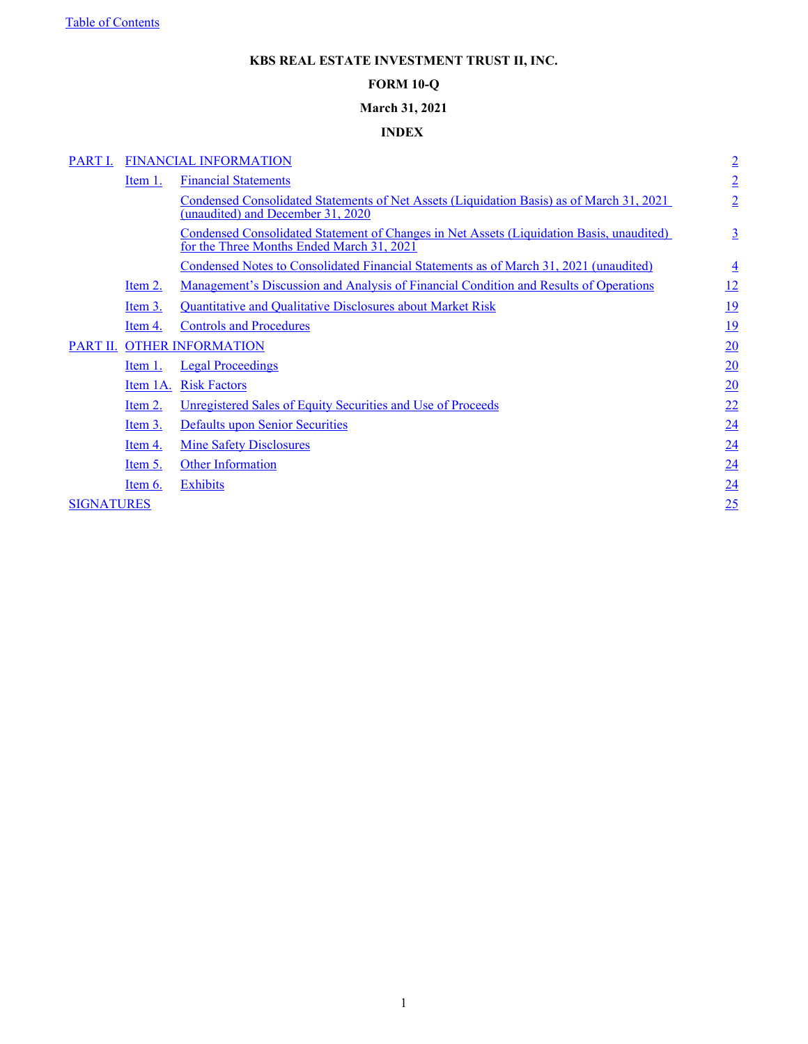<span id="page-1-0"></span>Table of Contents

# **KBS REAL ESTATE INVESTMENT TRUST II, INC.**

# **FORM 10-Q**

# **March 31, 2021**

# **INDEX**

| PART I.           |           | <b>FINANCIAL INFORMATION</b>                                                                                                          | $\overline{2}$  |
|-------------------|-----------|---------------------------------------------------------------------------------------------------------------------------------------|-----------------|
|                   | Item 1.   | <b>Financial Statements</b>                                                                                                           | $\overline{2}$  |
|                   |           | Condensed Consolidated Statements of Net Assets (Liquidation Basis) as of March 31, 2021<br>(unaudited) and December 31, 2020         | $\overline{2}$  |
|                   |           | Condensed Consolidated Statement of Changes in Net Assets (Liquidation Basis, unaudited)<br>for the Three Months Ended March 31, 2021 | $\underline{3}$ |
|                   |           | Condensed Notes to Consolidated Financial Statements as of March 31, 2021 (unaudited)                                                 | $\overline{4}$  |
|                   | Item 2.   | Management's Discussion and Analysis of Financial Condition and Results of Operations                                                 | 12              |
|                   | Item $3.$ | Quantitative and Qualitative Disclosures about Market Risk                                                                            | 19              |
|                   | Item 4.   | <b>Controls and Procedures</b>                                                                                                        | <u>19</u>       |
| PART II.          |           | <b>OTHER INFORMATION</b>                                                                                                              | 20              |
|                   | Item 1.   | <b>Legal Proceedings</b>                                                                                                              | 20              |
|                   | Item 1A.  | <b>Risk Factors</b>                                                                                                                   | 20              |
|                   | Item 2.   | Unregistered Sales of Equity Securities and Use of Proceeds                                                                           | 22              |
|                   | Item 3.   | <b>Defaults upon Senior Securities</b>                                                                                                | 24              |
|                   | Item 4.   | <b>Mine Safety Disclosures</b>                                                                                                        | 24              |
|                   | Item 5.   | <b>Other Information</b>                                                                                                              | 24              |
|                   | Item $6.$ | <b>Exhibits</b>                                                                                                                       | 24              |
| <b>SIGNATURES</b> |           |                                                                                                                                       | 25              |
|                   |           |                                                                                                                                       |                 |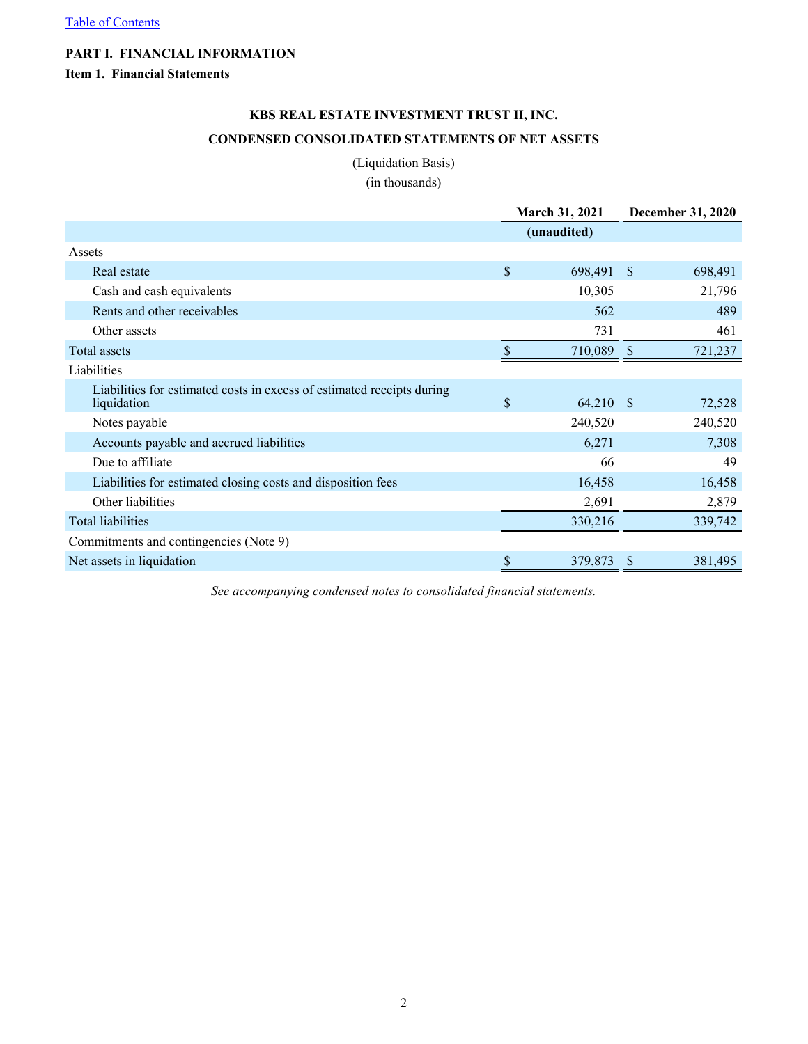# <span id="page-2-0"></span>**PART I. FINANCIAL INFORMATION**

# **Item 1. Financial Statements**

# **KBS REAL ESTATE INVESTMENT TRUST II, INC.**

# **CONDENSED CONSOLIDATED STATEMENTS OF NET ASSETS**

# (Liquidation Basis)

(in thousands)

|                                                                                       | <b>March 31, 2021</b> |             |              | <b>December 31, 2020</b> |  |  |
|---------------------------------------------------------------------------------------|-----------------------|-------------|--------------|--------------------------|--|--|
|                                                                                       |                       | (unaudited) |              |                          |  |  |
| Assets                                                                                |                       |             |              |                          |  |  |
| Real estate                                                                           | $\mathbb{S}$          | 698,491     | <sup>S</sup> | 698,491                  |  |  |
| Cash and cash equivalents                                                             |                       | 10,305      |              | 21,796                   |  |  |
| Rents and other receivables                                                           |                       | 562         |              | 489                      |  |  |
| Other assets                                                                          |                       | 731         |              | 461                      |  |  |
| Total assets                                                                          |                       | 710,089     | -S           | 721,237                  |  |  |
| Liabilities                                                                           |                       |             |              |                          |  |  |
| Liabilities for estimated costs in excess of estimated receipts during<br>liquidation | $\mathbb{S}$          | 64,210 \$   |              | 72,528                   |  |  |
| Notes payable                                                                         |                       | 240,520     |              | 240,520                  |  |  |
| Accounts payable and accrued liabilities                                              |                       | 6,271       |              | 7,308                    |  |  |
| Due to affiliate                                                                      |                       | 66          |              | 49                       |  |  |
| Liabilities for estimated closing costs and disposition fees                          |                       | 16,458      |              | 16,458                   |  |  |
| Other liabilities                                                                     |                       | 2,691       |              | 2,879                    |  |  |
| <b>Total liabilities</b>                                                              |                       | 330,216     |              | 339,742                  |  |  |
| Commitments and contingencies (Note 9)                                                |                       |             |              |                          |  |  |
| Net assets in liquidation                                                             |                       | 379,873     | <sup>8</sup> | 381,495                  |  |  |

*See accompanying condensed notes to consolidated financial statements.*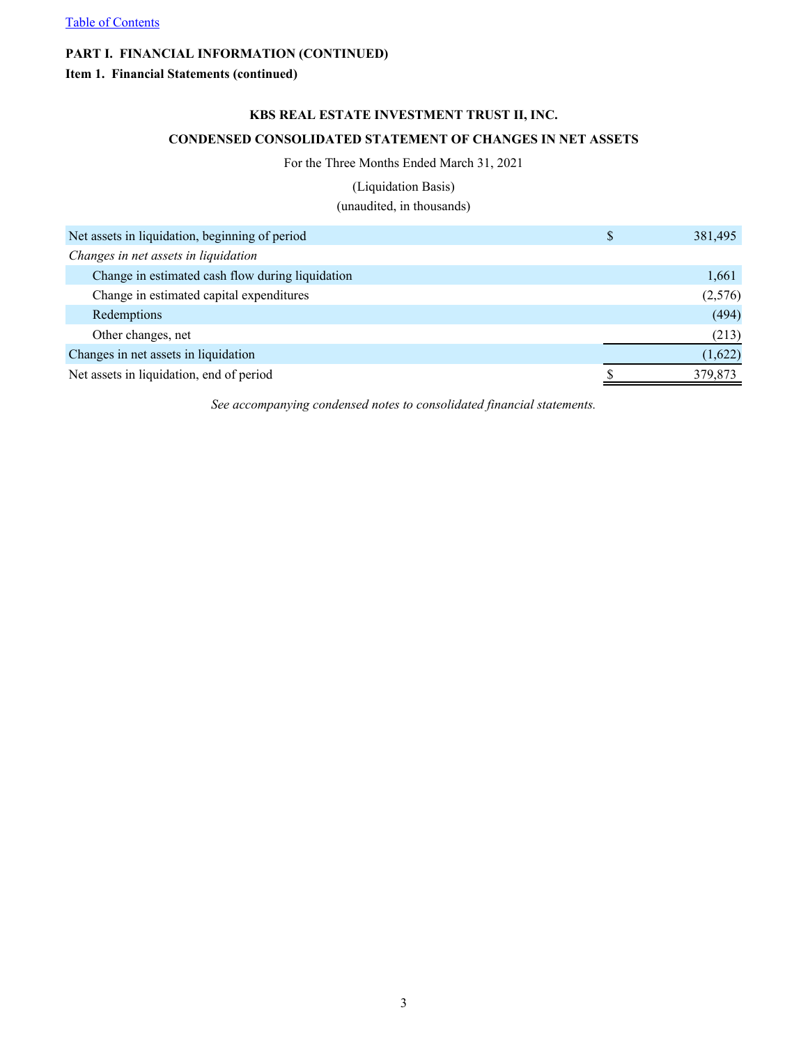# <span id="page-3-0"></span>**Item 1. Financial Statements (continued)**

# **KBS REAL ESTATE INVESTMENT TRUST II, INC.**

# **CONDENSED CONSOLIDATED STATEMENT OF CHANGES IN NET ASSETS**

# For the Three Months Ended March 31, 2021

(Liquidation Basis)

(unaudited, in thousands)

| Net assets in liquidation, beginning of period   | \$<br>381,495 |
|--------------------------------------------------|---------------|
| Changes in net assets in liquidation             |               |
| Change in estimated cash flow during liquidation | 1,661         |
| Change in estimated capital expenditures         | (2,576)       |
| Redemptions                                      | (494)         |
| Other changes, net                               | (213)         |
| Changes in net assets in liquidation             | (1,622)       |
| Net assets in liquidation, end of period         | 379,873       |

*See accompanying condensed notes to consolidated financial statements.*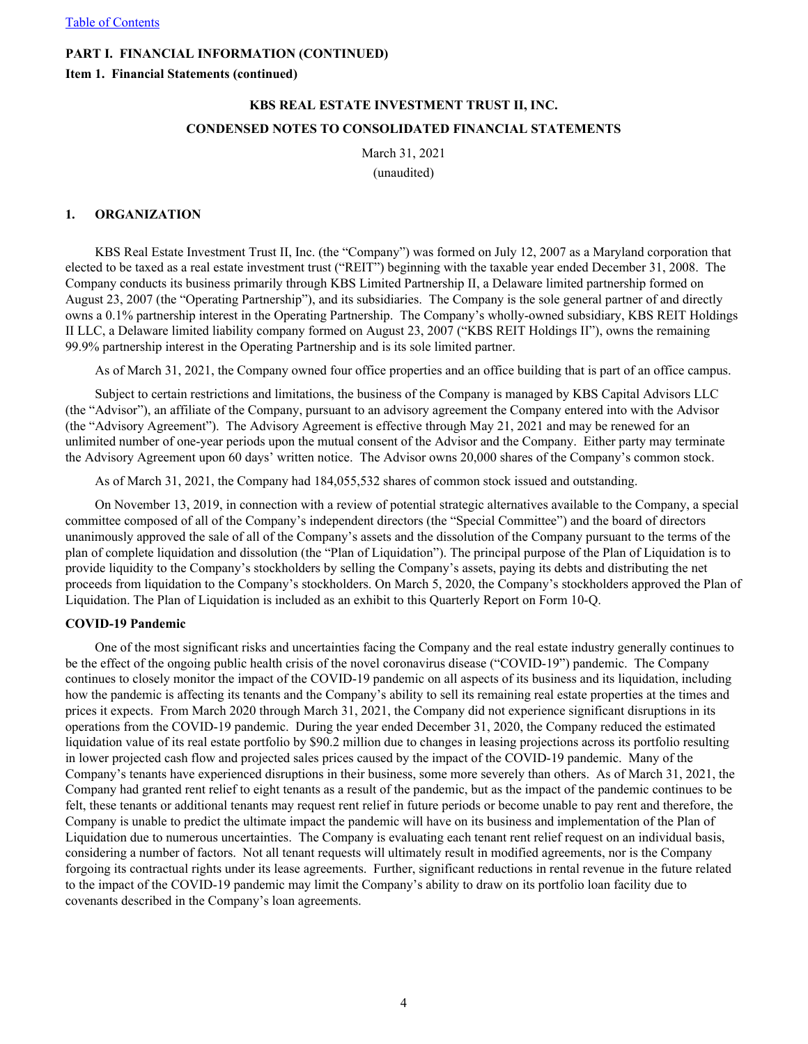<span id="page-4-0"></span>**Item 1. Financial Statements (continued)**

# **KBS REAL ESTATE INVESTMENT TRUST II, INC. CONDENSED NOTES TO CONSOLIDATED FINANCIAL STATEMENTS**

March 31, 2021 (unaudited)

### **1. ORGANIZATION**

KBS Real Estate Investment Trust II, Inc. (the "Company") was formed on July 12, 2007 as a Maryland corporation that elected to be taxed as a real estate investment trust ("REIT") beginning with the taxable year ended December 31, 2008. The Company conducts its business primarily through KBS Limited Partnership II, a Delaware limited partnership formed on August 23, 2007 (the "Operating Partnership"), and its subsidiaries. The Company is the sole general partner of and directly owns a 0.1% partnership interest in the Operating Partnership. The Company's wholly-owned subsidiary, KBS REIT Holdings II LLC, a Delaware limited liability company formed on August 23, 2007 ("KBS REIT Holdings II"), owns the remaining 99.9% partnership interest in the Operating Partnership and is its sole limited partner.

As of March 31, 2021, the Company owned four office properties and an office building that is part of an office campus.

Subject to certain restrictions and limitations, the business of the Company is managed by KBS Capital Advisors LLC (the "Advisor"), an affiliate of the Company, pursuant to an advisory agreement the Company entered into with the Advisor (the "Advisory Agreement"). The Advisory Agreement is effective through May 21, 2021 and may be renewed for an unlimited number of one-year periods upon the mutual consent of the Advisor and the Company. Either party may terminate the Advisory Agreement upon 60 days' written notice. The Advisor owns 20,000 shares of the Company's common stock.

As of March 31, 2021, the Company had 184,055,532 shares of common stock issued and outstanding.

On November 13, 2019, in connection with a review of potential strategic alternatives available to the Company, a special committee composed of all of the Company's independent directors (the "Special Committee") and the board of directors unanimously approved the sale of all of the Company's assets and the dissolution of the Company pursuant to the terms of the plan of complete liquidation and dissolution (the "Plan of Liquidation"). The principal purpose of the Plan of Liquidation is to provide liquidity to the Company's stockholders by selling the Company's assets, paying its debts and distributing the net proceeds from liquidation to the Company's stockholders. On March 5, 2020, the Company's stockholders approved the Plan of Liquidation. The Plan of Liquidation is included as an exhibit to this Quarterly Report on Form 10-Q.

#### **COVID-19 Pandemic**

One of the most significant risks and uncertainties facing the Company and the real estate industry generally continues to be the effect of the ongoing public health crisis of the novel coronavirus disease ("COVID-19") pandemic. The Company continues to closely monitor the impact of the COVID-19 pandemic on all aspects of its business and its liquidation, including how the pandemic is affecting its tenants and the Company's ability to sell its remaining real estate properties at the times and prices it expects. From March 2020 through March 31, 2021, the Company did not experience significant disruptions in its operations from the COVID-19 pandemic. During the year ended December 31, 2020, the Company reduced the estimated liquidation value of its real estate portfolio by \$90.2 million due to changes in leasing projections across its portfolio resulting in lower projected cash flow and projected sales prices caused by the impact of the COVID-19 pandemic. Many of the Company's tenants have experienced disruptions in their business, some more severely than others. As of March 31, 2021, the Company had granted rent relief to eight tenants as a result of the pandemic, but as the impact of the pandemic continues to be felt, these tenants or additional tenants may request rent relief in future periods or become unable to pay rent and therefore, the Company is unable to predict the ultimate impact the pandemic will have on its business and implementation of the Plan of Liquidation due to numerous uncertainties. The Company is evaluating each tenant rent relief request on an individual basis, considering a number of factors. Not all tenant requests will ultimately result in modified agreements, nor is the Company forgoing its contractual rights under its lease agreements. Further, significant reductions in rental revenue in the future related to the impact of the COVID-19 pandemic may limit the Company's ability to draw on its portfolio loan facility due to covenants described in the Company's loan agreements.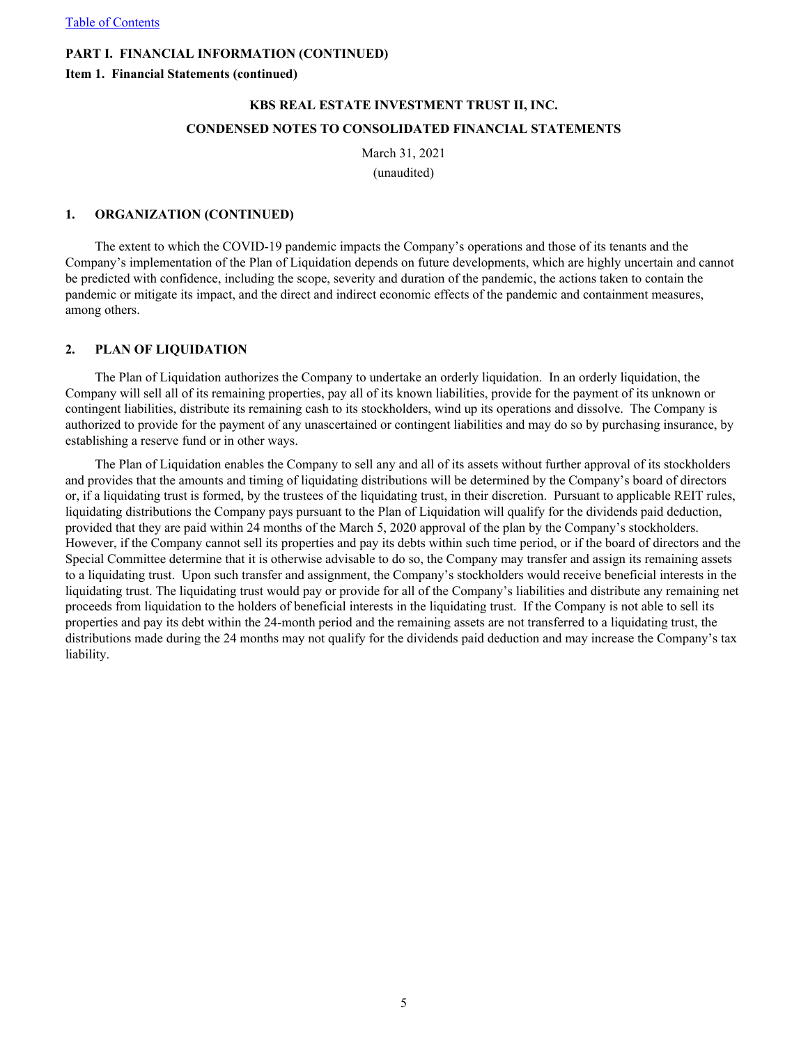**Item 1. Financial Statements (continued)**

# **KBS REAL ESTATE INVESTMENT TRUST II, INC. CONDENSED NOTES TO CONSOLIDATED FINANCIAL STATEMENTS**

March 31, 2021 (unaudited)

#### **1. ORGANIZATION (CONTINUED)**

The extent to which the COVID-19 pandemic impacts the Company's operations and those of its tenants and the Company's implementation of the Plan of Liquidation depends on future developments, which are highly uncertain and cannot be predicted with confidence, including the scope, severity and duration of the pandemic, the actions taken to contain the pandemic or mitigate its impact, and the direct and indirect economic effects of the pandemic and containment measures, among others.

### **2. PLAN OF LIQUIDATION**

The Plan of Liquidation authorizes the Company to undertake an orderly liquidation. In an orderly liquidation, the Company will sell all of its remaining properties, pay all of its known liabilities, provide for the payment of its unknown or contingent liabilities, distribute its remaining cash to its stockholders, wind up its operations and dissolve. The Company is authorized to provide for the payment of any unascertained or contingent liabilities and may do so by purchasing insurance, by establishing a reserve fund or in other ways.

The Plan of Liquidation enables the Company to sell any and all of its assets without further approval of its stockholders and provides that the amounts and timing of liquidating distributions will be determined by the Company's board of directors or, if a liquidating trust is formed, by the trustees of the liquidating trust, in their discretion. Pursuant to applicable REIT rules, liquidating distributions the Company pays pursuant to the Plan of Liquidation will qualify for the dividends paid deduction, provided that they are paid within 24 months of the March 5, 2020 approval of the plan by the Company's stockholders. However, if the Company cannot sell its properties and pay its debts within such time period, or if the board of directors and the Special Committee determine that it is otherwise advisable to do so, the Company may transfer and assign its remaining assets to a liquidating trust. Upon such transfer and assignment, the Company's stockholders would receive beneficial interests in the liquidating trust. The liquidating trust would pay or provide for all of the Company's liabilities and distribute any remaining net proceeds from liquidation to the holders of beneficial interests in the liquidating trust. If the Company is not able to sell its properties and pay its debt within the 24-month period and the remaining assets are not transferred to a liquidating trust, the distributions made during the 24 months may not qualify for the dividends paid deduction and may increase the Company's tax liability.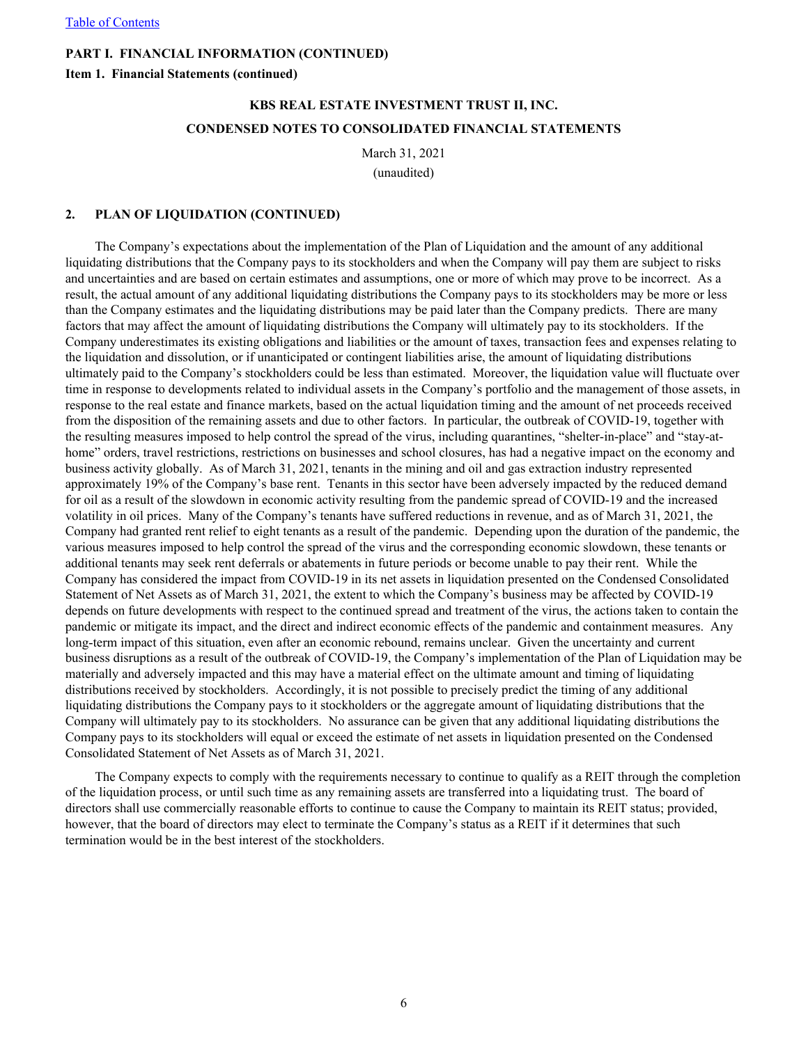**Item 1. Financial Statements (continued)**

# **KBS REAL ESTATE INVESTMENT TRUST II, INC. CONDENSED NOTES TO CONSOLIDATED FINANCIAL STATEMENTS**

March 31, 2021 (unaudited)

**2. PLAN OF LIQUIDATION (CONTINUED)**

The Company's expectations about the implementation of the Plan of Liquidation and the amount of any additional liquidating distributions that the Company pays to its stockholders and when the Company will pay them are subject to risks and uncertainties and are based on certain estimates and assumptions, one or more of which may prove to be incorrect. As a result, the actual amount of any additional liquidating distributions the Company pays to its stockholders may be more or less than the Company estimates and the liquidating distributions may be paid later than the Company predicts. There are many factors that may affect the amount of liquidating distributions the Company will ultimately pay to its stockholders. If the Company underestimates its existing obligations and liabilities or the amount of taxes, transaction fees and expenses relating to the liquidation and dissolution, or if unanticipated or contingent liabilities arise, the amount of liquidating distributions ultimately paid to the Company's stockholders could be less than estimated. Moreover, the liquidation value will fluctuate over time in response to developments related to individual assets in the Company's portfolio and the management of those assets, in response to the real estate and finance markets, based on the actual liquidation timing and the amount of net proceeds received from the disposition of the remaining assets and due to other factors. In particular, the outbreak of COVID-19, together with the resulting measures imposed to help control the spread of the virus, including quarantines, "shelter-in-place" and "stay-athome" orders, travel restrictions, restrictions on businesses and school closures, has had a negative impact on the economy and business activity globally. As of March 31, 2021, tenants in the mining and oil and gas extraction industry represented approximately 19% of the Company's base rent. Tenants in this sector have been adversely impacted by the reduced demand for oil as a result of the slowdown in economic activity resulting from the pandemic spread of COVID-19 and the increased volatility in oil prices. Many of the Company's tenants have suffered reductions in revenue, and as of March 31, 2021, the Company had granted rent relief to eight tenants as a result of the pandemic. Depending upon the duration of the pandemic, the various measures imposed to help control the spread of the virus and the corresponding economic slowdown, these tenants or additional tenants may seek rent deferrals or abatements in future periods or become unable to pay their rent. While the Company has considered the impact from COVID-19 in its net assets in liquidation presented on the Condensed Consolidated Statement of Net Assets as of March 31, 2021, the extent to which the Company's business may be affected by COVID-19 depends on future developments with respect to the continued spread and treatment of the virus, the actions taken to contain the pandemic or mitigate its impact, and the direct and indirect economic effects of the pandemic and containment measures. Any long-term impact of this situation, even after an economic rebound, remains unclear. Given the uncertainty and current business disruptions as a result of the outbreak of COVID-19, the Company's implementation of the Plan of Liquidation may be materially and adversely impacted and this may have a material effect on the ultimate amount and timing of liquidating distributions received by stockholders. Accordingly, it is not possible to precisely predict the timing of any additional liquidating distributions the Company pays to it stockholders or the aggregate amount of liquidating distributions that the Company will ultimately pay to its stockholders. No assurance can be given that any additional liquidating distributions the Company pays to its stockholders will equal or exceed the estimate of net assets in liquidation presented on the Condensed Consolidated Statement of Net Assets as of March 31, 2021.

The Company expects to comply with the requirements necessary to continue to qualify as a REIT through the completion of the liquidation process, or until such time as any remaining assets are transferred into a liquidating trust. The board of directors shall use commercially reasonable efforts to continue to cause the Company to maintain its REIT status; provided, however, that the board of directors may elect to terminate the Company's status as a REIT if it determines that such termination would be in the best interest of the stockholders.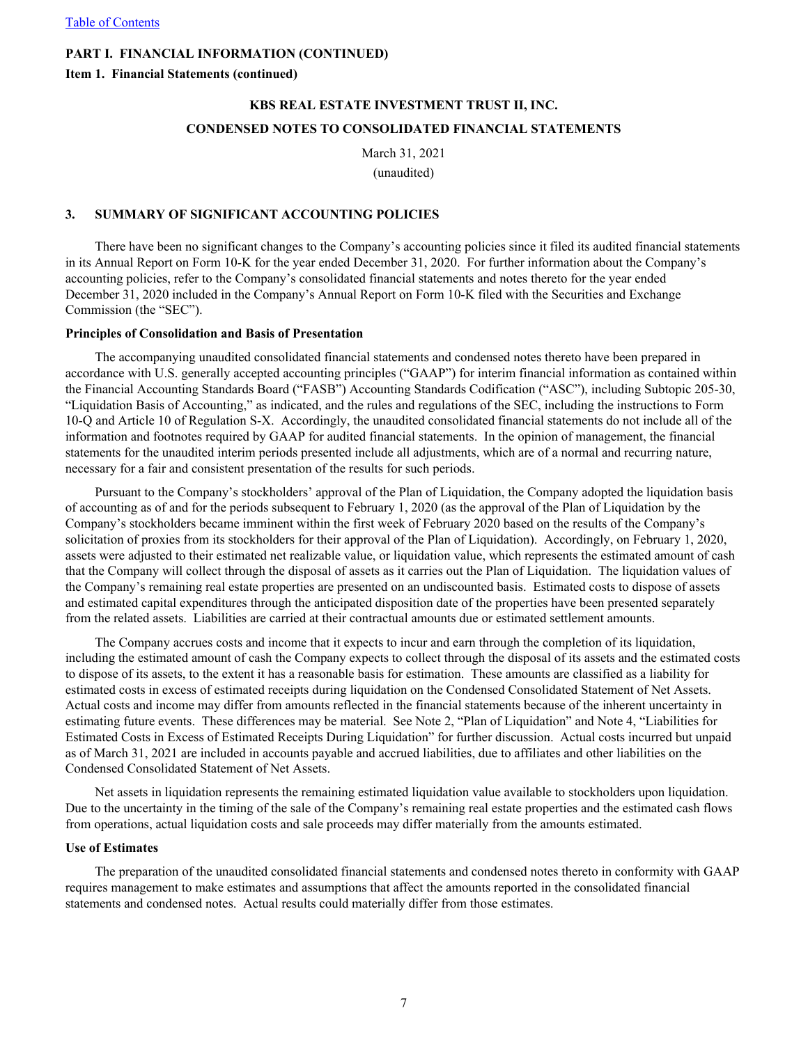**Item 1. Financial Statements (continued)**

# **KBS REAL ESTATE INVESTMENT TRUST II, INC. CONDENSED NOTES TO CONSOLIDATED FINANCIAL STATEMENTS**

March 31, 2021 (unaudited)

#### **3. SUMMARY OF SIGNIFICANT ACCOUNTING POLICIES**

There have been no significant changes to the Company's accounting policies since it filed its audited financial statements in its Annual Report on Form 10-K for the year ended December 31, 2020. For further information about the Company's accounting policies, refer to the Company's consolidated financial statements and notes thereto for the year ended December 31, 2020 included in the Company's Annual Report on Form 10-K filed with the Securities and Exchange Commission (the "SEC").

#### **Principles of Consolidation and Basis of Presentation**

The accompanying unaudited consolidated financial statements and condensed notes thereto have been prepared in accordance with U.S. generally accepted accounting principles ("GAAP") for interim financial information as contained within the Financial Accounting Standards Board ("FASB") Accounting Standards Codification ("ASC"), including Subtopic 205-30, "Liquidation Basis of Accounting," as indicated, and the rules and regulations of the SEC, including the instructions to Form 10-Q and Article 10 of Regulation S-X. Accordingly, the unaudited consolidated financial statements do not include all of the information and footnotes required by GAAP for audited financial statements. In the opinion of management, the financial statements for the unaudited interim periods presented include all adjustments, which are of a normal and recurring nature, necessary for a fair and consistent presentation of the results for such periods.

Pursuant to the Company's stockholders' approval of the Plan of Liquidation, the Company adopted the liquidation basis of accounting as of and for the periods subsequent to February 1, 2020 (as the approval of the Plan of Liquidation by the Company's stockholders became imminent within the first week of February 2020 based on the results of the Company's solicitation of proxies from its stockholders for their approval of the Plan of Liquidation). Accordingly, on February 1, 2020, assets were adjusted to their estimated net realizable value, or liquidation value, which represents the estimated amount of cash that the Company will collect through the disposal of assets as it carries out the Plan of Liquidation. The liquidation values of the Company's remaining real estate properties are presented on an undiscounted basis. Estimated costs to dispose of assets and estimated capital expenditures through the anticipated disposition date of the properties have been presented separately from the related assets. Liabilities are carried at their contractual amounts due or estimated settlement amounts.

The Company accrues costs and income that it expects to incur and earn through the completion of its liquidation, including the estimated amount of cash the Company expects to collect through the disposal of its assets and the estimated costs to dispose of its assets, to the extent it has a reasonable basis for estimation. These amounts are classified as a liability for estimated costs in excess of estimated receipts during liquidation on the Condensed Consolidated Statement of Net Assets. Actual costs and income may differ from amounts reflected in the financial statements because of the inherent uncertainty in estimating future events. These differences may be material. See Note 2, "Plan of Liquidation" and Note 4, "Liabilities for Estimated Costs in Excess of Estimated Receipts During Liquidation" for further discussion. Actual costs incurred but unpaid as of March 31, 2021 are included in accounts payable and accrued liabilities, due to affiliates and other liabilities on the Condensed Consolidated Statement of Net Assets.

Net assets in liquidation represents the remaining estimated liquidation value available to stockholders upon liquidation. Due to the uncertainty in the timing of the sale of the Company's remaining real estate properties and the estimated cash flows from operations, actual liquidation costs and sale proceeds may differ materially from the amounts estimated.

#### **Use of Estimates**

The preparation of the unaudited consolidated financial statements and condensed notes thereto in conformity with GAAP requires management to make estimates and assumptions that affect the amounts reported in the consolidated financial statements and condensed notes. Actual results could materially differ from those estimates.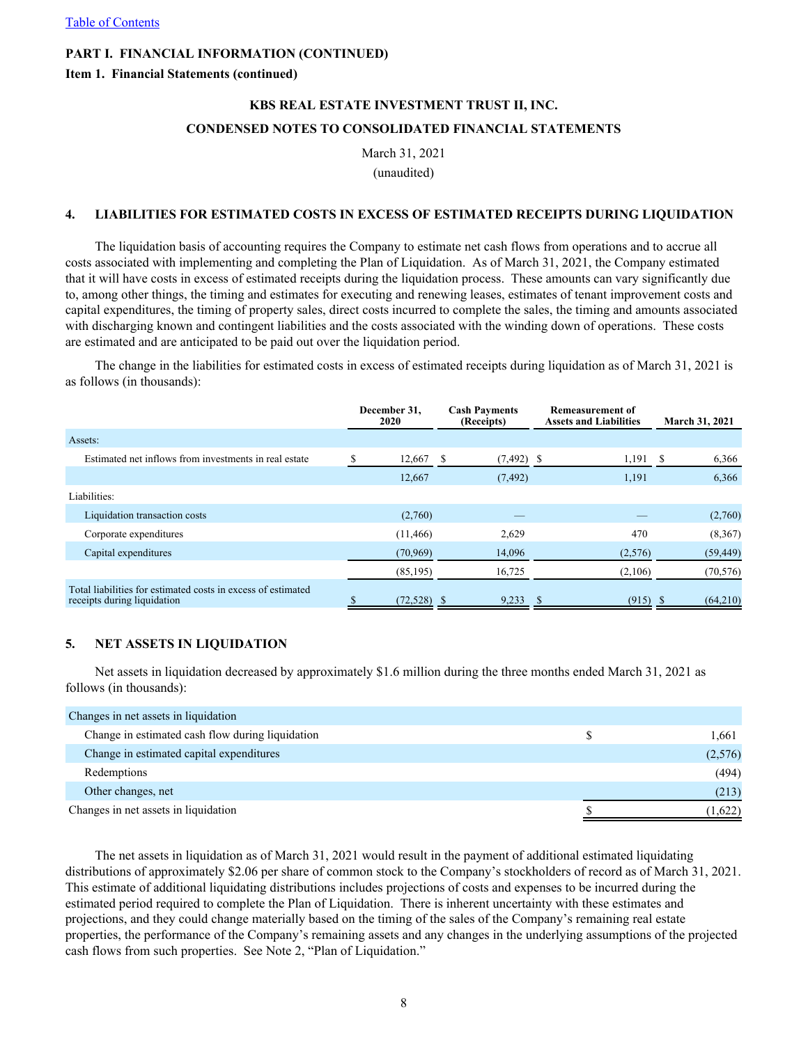### **Item 1. Financial Statements (continued)**

# **KBS REAL ESTATE INVESTMENT TRUST II, INC. CONDENSED NOTES TO CONSOLIDATED FINANCIAL STATEMENTS**

March 31, 2021

(unaudited)

#### **4. LIABILITIES FOR ESTIMATED COSTS IN EXCESS OF ESTIMATED RECEIPTS DURING LIQUIDATION**

The liquidation basis of accounting requires the Company to estimate net cash flows from operations and to accrue all costs associated with implementing and completing the Plan of Liquidation. As of March 31, 2021, the Company estimated that it will have costs in excess of estimated receipts during the liquidation process. These amounts can vary significantly due to, among other things, the timing and estimates for executing and renewing leases, estimates of tenant improvement costs and capital expenditures, the timing of property sales, direct costs incurred to complete the sales, the timing and amounts associated with discharging known and contingent liabilities and the costs associated with the winding down of operations. These costs are estimated and are anticipated to be paid out over the liquidation period.

The change in the liabilities for estimated costs in excess of estimated receipts during liquidation as of March 31, 2021 is as follows (in thousands):

|                                                                                             | December 31,<br>2020 | <b>Cash Payments</b><br>(Receipts) | <b>Remeasurement of</b><br><b>Assets and Liabilities</b> | <b>March 31, 2021</b> |
|---------------------------------------------------------------------------------------------|----------------------|------------------------------------|----------------------------------------------------------|-----------------------|
| Assets:                                                                                     |                      |                                    |                                                          |                       |
| Estimated net inflows from investments in real estate                                       | 12,667               | $(7,492)$ \$<br>- \$               | 1,191                                                    | 6,366<br>- \$         |
|                                                                                             | 12,667               | (7, 492)                           | 1,191                                                    | 6,366                 |
| Liabilities:                                                                                |                      |                                    |                                                          |                       |
| Liquidation transaction costs                                                               | (2,760)              |                                    |                                                          | (2,760)               |
| Corporate expenditures                                                                      | (11, 466)            | 2,629                              | 470                                                      | (8,367)               |
| Capital expenditures                                                                        | (70, 969)            | 14,096                             | (2,576)                                                  | (59, 449)             |
|                                                                                             | (85, 195)            | 16,725                             | (2,106)                                                  | (70, 576)             |
| Total liabilities for estimated costs in excess of estimated<br>receipts during liquidation | $(72,528)$ \$        | 9,233                              | $(915)$ \$                                               | (64,210)              |

# **5. NET ASSETS IN LIQUIDATION**

Net assets in liquidation decreased by approximately \$1.6 million during the three months ended March 31, 2021 as follows (in thousands):

| Changes in net assets in liquidation             |         |
|--------------------------------------------------|---------|
| Change in estimated cash flow during liquidation | 1,661   |
| Change in estimated capital expenditures         | (2,576) |
| Redemptions                                      | (494)   |
| Other changes, net                               | (213)   |
| Changes in net assets in liquidation             | (1,622) |

The net assets in liquidation as of March 31, 2021 would result in the payment of additional estimated liquidating distributions of approximately \$2.06 per share of common stock to the Company's stockholders of record as of March 31, 2021. This estimate of additional liquidating distributions includes projections of costs and expenses to be incurred during the estimated period required to complete the Plan of Liquidation. There is inherent uncertainty with these estimates and projections, and they could change materially based on the timing of the sales of the Company's remaining real estate properties, the performance of the Company's remaining assets and any changes in the underlying assumptions of the projected cash flows from such properties. See Note 2, "Plan of Liquidation."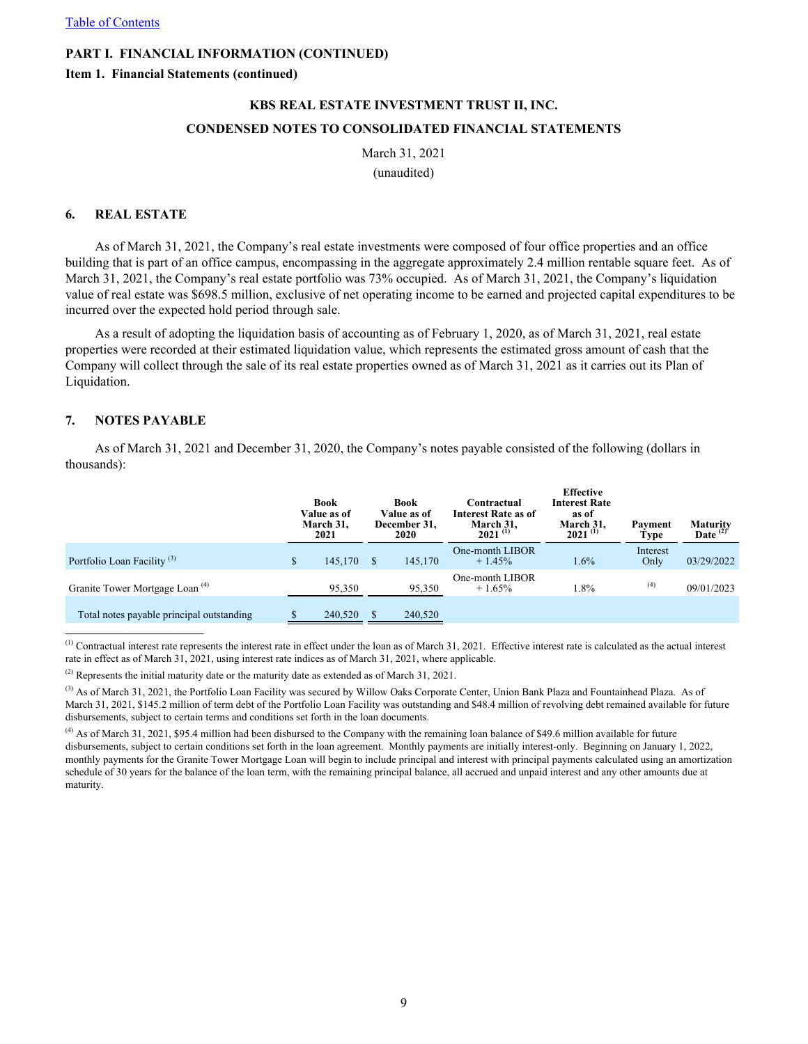**Item 1. Financial Statements (continued)**

# **KBS REAL ESTATE INVESTMENT TRUST II, INC. CONDENSED NOTES TO CONSOLIDATED FINANCIAL STATEMENTS**

March 31, 2021 (unaudited)

#### **6. REAL ESTATE**

As of March 31, 2021, the Company's real estate investments were composed of four office properties and an office building that is part of an office campus, encompassing in the aggregate approximately 2.4 million rentable square feet. As of March 31, 2021, the Company's real estate portfolio was 73% occupied. As of March 31, 2021, the Company's liquidation value of real estate was \$698.5 million, exclusive of net operating income to be earned and projected capital expenditures to be incurred over the expected hold period through sale.

As a result of adopting the liquidation basis of accounting as of February 1, 2020, as of March 31, 2021, real estate properties were recorded at their estimated liquidation value, which represents the estimated gross amount of cash that the Company will collect through the sale of its real estate properties owned as of March 31, 2021 as it carries out its Plan of Liquidation.

# **7. NOTES PAYABLE**

As of March 31, 2021 and December 31, 2020, the Company's notes payable consisted of the following (dollars in thousands):

| <b>Book</b><br>Book<br>Value as of<br>December 31,<br>2021<br>2020 |                          | Contractual<br><b>Interest Rate as of</b><br>March 31.<br>$2021^{(1)}$ | <b>Effective</b><br><b>Interest Rate</b><br>as of<br>March 31.<br>$2021^{(1)}$ | Payment<br><b>Type</b> | <b>Maturity</b><br>Date $(2)$ <sup>*</sup> |            |
|--------------------------------------------------------------------|--------------------------|------------------------------------------------------------------------|--------------------------------------------------------------------------------|------------------------|--------------------------------------------|------------|
| \$<br>145,170                                                      | \$                       | 145,170                                                                | One-month LIBOR<br>$+1.45%$                                                    | 1.6%                   | Interest<br>Only                           | 03/29/2022 |
| 95,350                                                             |                          | 95,350                                                                 | One-month LIBOR<br>$+1.65%$                                                    | 1.8%                   | (4)                                        | 09/01/2023 |
| 240,520                                                            |                          | 240,520                                                                |                                                                                |                        |                                            |            |
|                                                                    | Value as of<br>March 31. |                                                                        |                                                                                |                        |                                            |            |

(1) Contractual interest rate represents the interest rate in effect under the loan as of March 31, 2021. Effective interest rate is calculated as the actual interest rate in effect as of March 31, 2021, using interest rate indices as of March 31, 2021, where applicable.

 $^{(2)}$  Represents the initial maturity date or the maturity date as extended as of March 31, 2021.

 $<sup>(4)</sup>$  As of March 31, 2021, \$95.4 million had been disbursed to the Company with the remaining loan balance of \$49.6 million available for future</sup> disbursements, subject to certain conditions set forth in the loan agreement. Monthly payments are initially interest-only. Beginning on January 1, 2022, monthly payments for the Granite Tower Mortgage Loan will begin to include principal and interest with principal payments calculated using an amortization schedule of 30 years for the balance of the loan term, with the remaining principal balance, all accrued and unpaid interest and any other amounts due at maturity.

<sup>&</sup>lt;sup>(3)</sup> As of March 31, 2021, the Portfolio Loan Facility was secured by Willow Oaks Corporate Center, Union Bank Plaza and Fountainhead Plaza. As of March 31, 2021, \$145.2 million of term debt of the Portfolio Loan Facility was outstanding and \$48.4 million of revolving debt remained available for future disbursements, subject to certain terms and conditions set forth in the loan documents.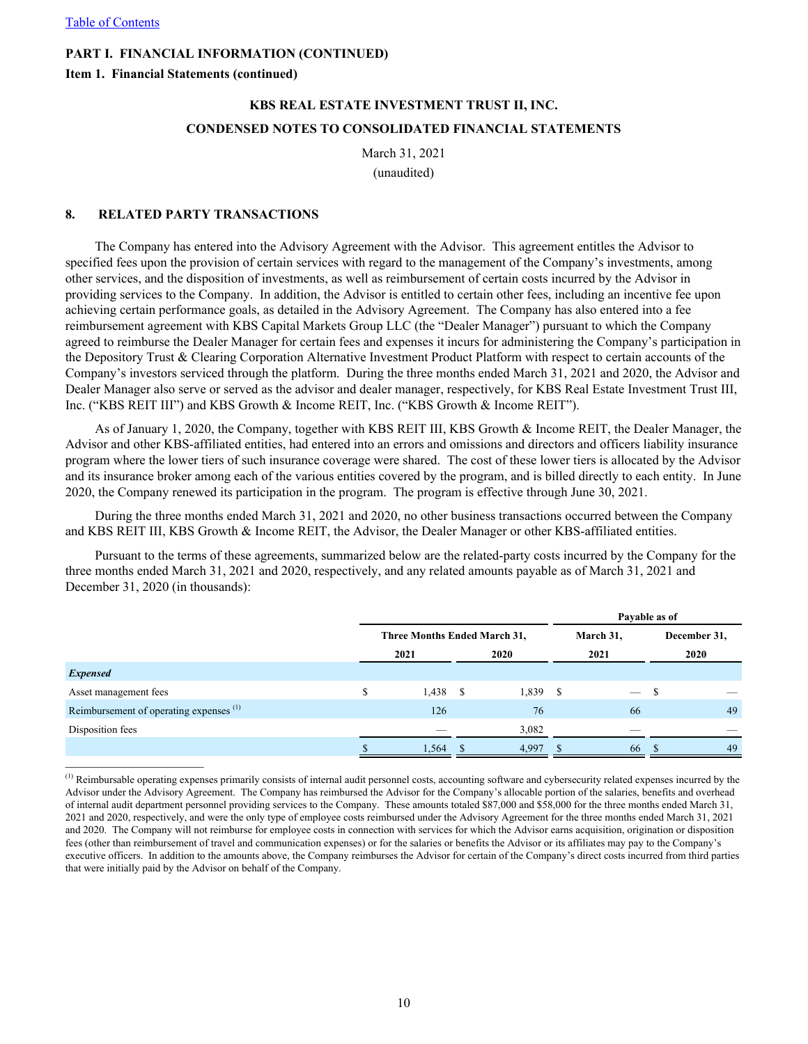**Item 1. Financial Statements (continued)**

# **KBS REAL ESTATE INVESTMENT TRUST II, INC. CONDENSED NOTES TO CONSOLIDATED FINANCIAL STATEMENTS**

March 31, 2021 (unaudited)

### **8. RELATED PARTY TRANSACTIONS**

 $\mathcal{L}_\text{max}$  and  $\mathcal{L}_\text{max}$  and  $\mathcal{L}_\text{max}$ 

The Company has entered into the Advisory Agreement with the Advisor. This agreement entitles the Advisor to specified fees upon the provision of certain services with regard to the management of the Company's investments, among other services, and the disposition of investments, as well as reimbursement of certain costs incurred by the Advisor in providing services to the Company. In addition, the Advisor is entitled to certain other fees, including an incentive fee upon achieving certain performance goals, as detailed in the Advisory Agreement. The Company has also entered into a fee reimbursement agreement with KBS Capital Markets Group LLC (the "Dealer Manager") pursuant to which the Company agreed to reimburse the Dealer Manager for certain fees and expenses it incurs for administering the Company's participation in the Depository Trust & Clearing Corporation Alternative Investment Product Platform with respect to certain accounts of the Company's investors serviced through the platform. During the three months ended March 31, 2021 and 2020, the Advisor and Dealer Manager also serve or served as the advisor and dealer manager, respectively, for KBS Real Estate Investment Trust III, Inc. ("KBS REIT III") and KBS Growth & Income REIT, Inc. ("KBS Growth & Income REIT").

As of January 1, 2020, the Company, together with KBS REIT III, KBS Growth & Income REIT, the Dealer Manager, the Advisor and other KBS-affiliated entities, had entered into an errors and omissions and directors and officers liability insurance program where the lower tiers of such insurance coverage were shared. The cost of these lower tiers is allocated by the Advisor and its insurance broker among each of the various entities covered by the program, and is billed directly to each entity. In June 2020, the Company renewed its participation in the program. The program is effective through June 30, 2021.

During the three months ended March 31, 2021 and 2020, no other business transactions occurred between the Company and KBS REIT III, KBS Growth & Income REIT, the Advisor, the Dealer Manager or other KBS-affiliated entities.

Pursuant to the terms of these agreements, summarized below are the related-party costs incurred by the Company for the three months ended March 31, 2021 and 2020, respectively, and any related amounts payable as of March 31, 2021 and December 31, 2020 (in thousands):

|                                                    |                              |      |       | Pavable as of |    |  |              |  |  |
|----------------------------------------------------|------------------------------|------|-------|---------------|----|--|--------------|--|--|
|                                                    | Three Months Ended March 31, |      |       | March 31,     |    |  | December 31, |  |  |
|                                                    | 2021                         | 2020 |       | 2021          |    |  | 2020         |  |  |
| <b>Expensed</b>                                    |                              |      |       |               |    |  |              |  |  |
| Asset management fees                              | $1,438$ \$                   |      | 1,839 | - S           |    |  |              |  |  |
| Reimbursement of operating expenses <sup>(1)</sup> | 126                          |      | 76    |               | 66 |  | 49           |  |  |
| Disposition fees                                   |                              |      | 3,082 |               |    |  |              |  |  |
|                                                    | 1,564                        |      | 4,997 |               | 66 |  | 49           |  |  |

 $<sup>(1)</sup>$  Reimbursable operating expenses primarily consists of internal audit personnel costs, accounting software and cybersecurity related expenses incurred by the</sup> Advisor under the Advisory Agreement. The Company has reimbursed the Advisor for the Company's allocable portion of the salaries, benefits and overhead of internal audit department personnel providing services to the Company. These amounts totaled \$87,000 and \$58,000 for the three months ended March 31, 2021 and 2020, respectively, and were the only type of employee costs reimbursed under the Advisory Agreement for the three months ended March 31, 2021 and 2020. The Company will not reimburse for employee costs in connection with services for which the Advisor earns acquisition, origination or disposition fees (other than reimbursement of travel and communication expenses) or for the salaries or benefits the Advisor or its affiliates may pay to the Company's executive officers. In addition to the amounts above, the Company reimburses the Advisor for certain of the Company's direct costs incurred from third parties that were initially paid by the Advisor on behalf of the Company.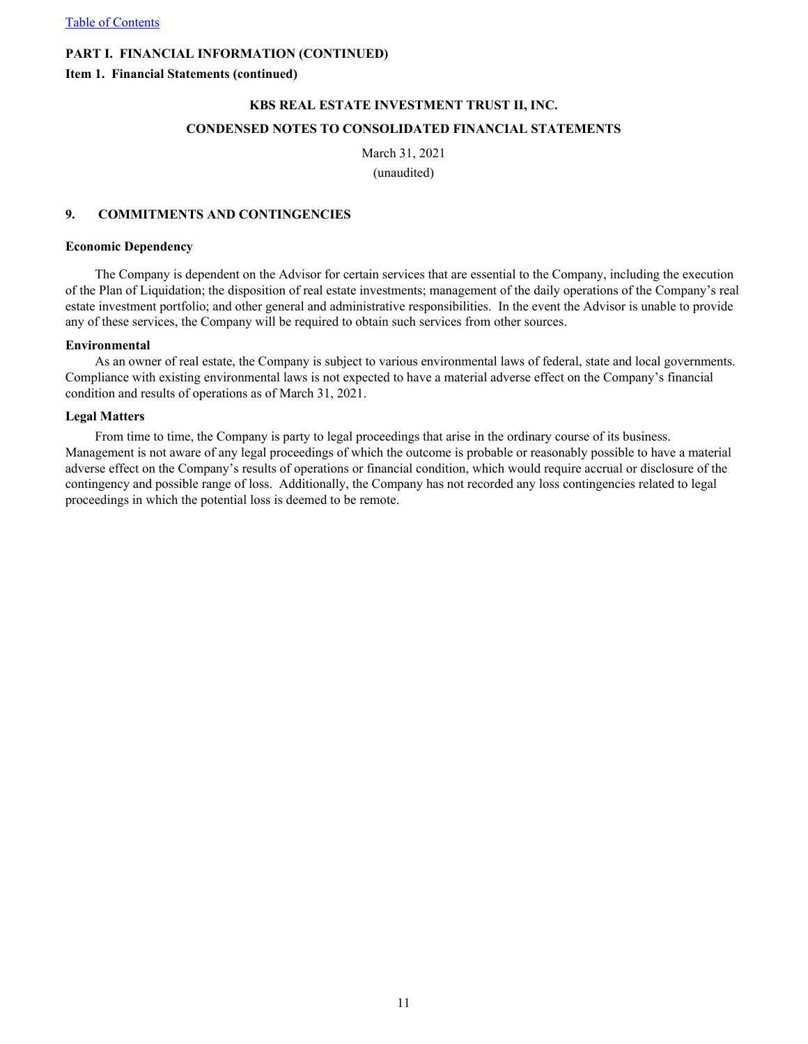# **Item 1. Financial Statements (continued)**

# **KBS REAL ESTATE INVESTMENT TRUST II, INC. CONDENSED NOTES TO CONSOLIDATED FINANCIAL STATEMENTS**

March 31, 2021 (unaudited)

# **9. COMMITMENTS AND CONTINGENCIES**

# **Economic Dependency**

The Company is dependent on the Advisor for certain services that are essential to the Company, including the execution of the Plan of Liquidation; the disposition of real estate investments; management of the daily operations of the Company's real estate investment portfolio; and other general and administrative responsibilities. In the event the Advisor is unable to provide any of these services, the Company will be required to obtain such services from other sources.

# **Environmental**

As an owner of real estate, the Company is subject to various environmental laws of federal, state and local governments. Compliance with existing environmental laws is not expected to have a material adverse effect on the Company's financial condition and results of operations as of March 31, 2021.

# **Legal Matters**

From time to time, the Company is party to legal proceedings that arise in the ordinary course of its business. Management is not aware of any legal proceedings of which the outcome is probable or reasonably possible to have a material adverse effect on the Company's results of operations or financial condition, which would require accrual or disclosure of the contingency and possible range of loss. Additionally, the Company has not recorded any loss contingencies related to legal proceedings in which the potential loss is deemed to be remote.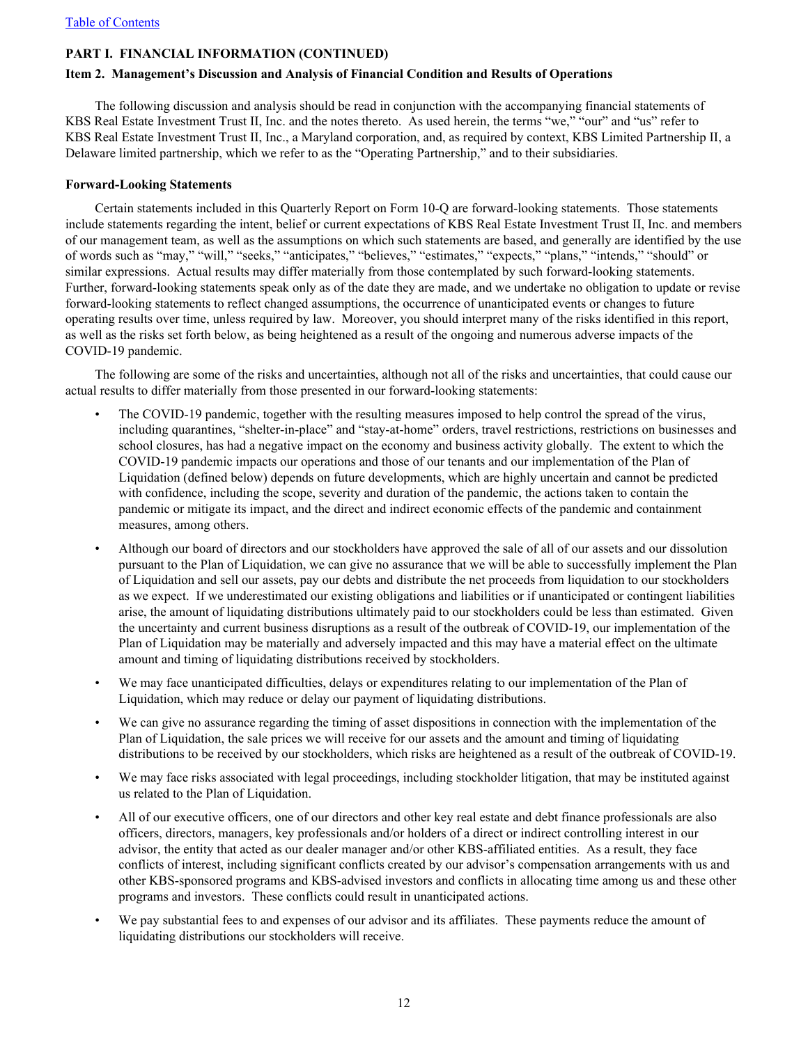# <span id="page-12-0"></span>**Item 2. Management's Discussion and Analysis of Financial Condition and Results of Operations**

The following discussion and analysis should be read in conjunction with the accompanying financial statements of KBS Real Estate Investment Trust II, Inc. and the notes thereto. As used herein, the terms "we," "our" and "us" refer to KBS Real Estate Investment Trust II, Inc., a Maryland corporation, and, as required by context, KBS Limited Partnership II, a Delaware limited partnership, which we refer to as the "Operating Partnership," and to their subsidiaries.

#### **Forward-Looking Statements**

Certain statements included in this Quarterly Report on Form 10-Q are forward-looking statements. Those statements include statements regarding the intent, belief or current expectations of KBS Real Estate Investment Trust II, Inc. and members of our management team, as well as the assumptions on which such statements are based, and generally are identified by the use of words such as "may," "will," "seeks," "anticipates," "believes," "estimates," "expects," "plans," "intends," "should" or similar expressions. Actual results may differ materially from those contemplated by such forward-looking statements. Further, forward-looking statements speak only as of the date they are made, and we undertake no obligation to update or revise forward-looking statements to reflect changed assumptions, the occurrence of unanticipated events or changes to future operating results over time, unless required by law. Moreover, you should interpret many of the risks identified in this report, as well as the risks set forth below, as being heightened as a result of the ongoing and numerous adverse impacts of the COVID-19 pandemic.

The following are some of the risks and uncertainties, although not all of the risks and uncertainties, that could cause our actual results to differ materially from those presented in our forward-looking statements:

- The COVID-19 pandemic, together with the resulting measures imposed to help control the spread of the virus, including quarantines, "shelter-in-place" and "stay-at-home" orders, travel restrictions, restrictions on businesses and school closures, has had a negative impact on the economy and business activity globally. The extent to which the COVID-19 pandemic impacts our operations and those of our tenants and our implementation of the Plan of Liquidation (defined below) depends on future developments, which are highly uncertain and cannot be predicted with confidence, including the scope, severity and duration of the pandemic, the actions taken to contain the pandemic or mitigate its impact, and the direct and indirect economic effects of the pandemic and containment measures, among others.
- Although our board of directors and our stockholders have approved the sale of all of our assets and our dissolution pursuant to the Plan of Liquidation, we can give no assurance that we will be able to successfully implement the Plan of Liquidation and sell our assets, pay our debts and distribute the net proceeds from liquidation to our stockholders as we expect. If we underestimated our existing obligations and liabilities or if unanticipated or contingent liabilities arise, the amount of liquidating distributions ultimately paid to our stockholders could be less than estimated. Given the uncertainty and current business disruptions as a result of the outbreak of COVID-19, our implementation of the Plan of Liquidation may be materially and adversely impacted and this may have a material effect on the ultimate amount and timing of liquidating distributions received by stockholders.
- We may face unanticipated difficulties, delays or expenditures relating to our implementation of the Plan of Liquidation, which may reduce or delay our payment of liquidating distributions.
- We can give no assurance regarding the timing of asset dispositions in connection with the implementation of the Plan of Liquidation, the sale prices we will receive for our assets and the amount and timing of liquidating distributions to be received by our stockholders, which risks are heightened as a result of the outbreak of COVID-19.
- We may face risks associated with legal proceedings, including stockholder litigation, that may be instituted against us related to the Plan of Liquidation.
- All of our executive officers, one of our directors and other key real estate and debt finance professionals are also officers, directors, managers, key professionals and/or holders of a direct or indirect controlling interest in our advisor, the entity that acted as our dealer manager and/or other KBS-affiliated entities. As a result, they face conflicts of interest, including significant conflicts created by our advisor's compensation arrangements with us and other KBS-sponsored programs and KBS-advised investors and conflicts in allocating time among us and these other programs and investors. These conflicts could result in unanticipated actions.
- We pay substantial fees to and expenses of our advisor and its affiliates. These payments reduce the amount of liquidating distributions our stockholders will receive.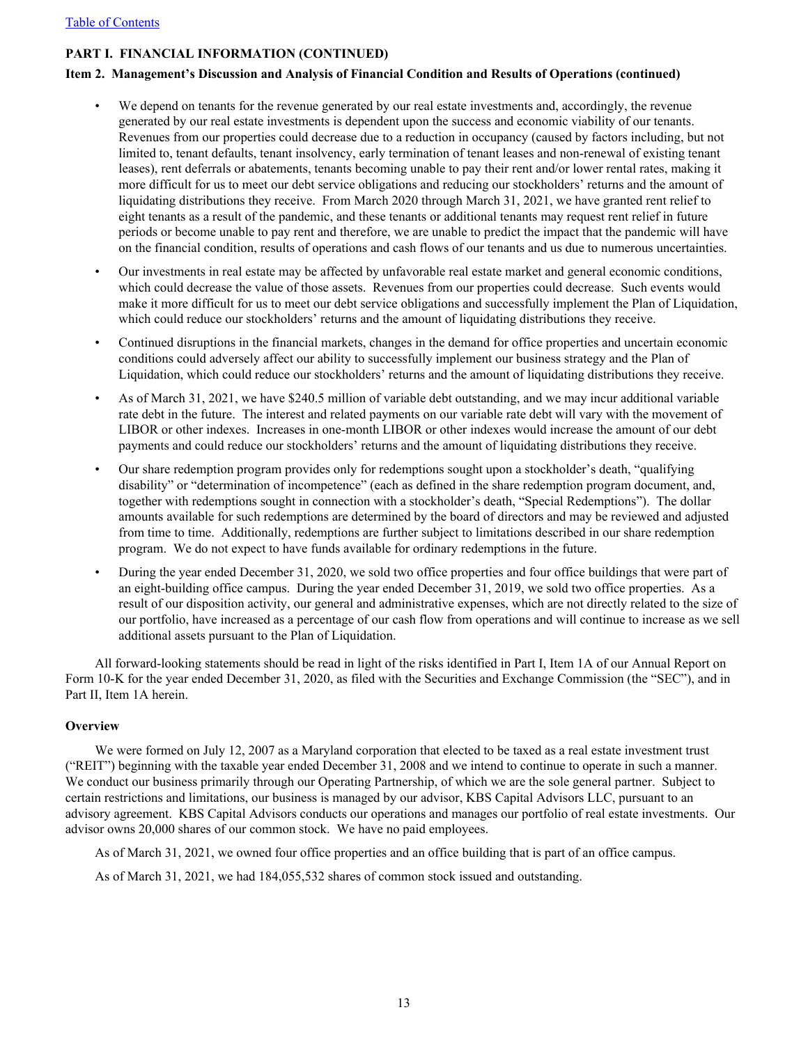# **Item 2. Management's Discussion and Analysis of Financial Condition and Results of Operations (continued)**

- We depend on tenants for the revenue generated by our real estate investments and, accordingly, the revenue generated by our real estate investments is dependent upon the success and economic viability of our tenants. Revenues from our properties could decrease due to a reduction in occupancy (caused by factors including, but not limited to, tenant defaults, tenant insolvency, early termination of tenant leases and non-renewal of existing tenant leases), rent deferrals or abatements, tenants becoming unable to pay their rent and/or lower rental rates, making it more difficult for us to meet our debt service obligations and reducing our stockholders' returns and the amount of liquidating distributions they receive. From March 2020 through March 31, 2021, we have granted rent relief to eight tenants as a result of the pandemic, and these tenants or additional tenants may request rent relief in future periods or become unable to pay rent and therefore, we are unable to predict the impact that the pandemic will have on the financial condition, results of operations and cash flows of our tenants and us due to numerous uncertainties.
- Our investments in real estate may be affected by unfavorable real estate market and general economic conditions, which could decrease the value of those assets. Revenues from our properties could decrease. Such events would make it more difficult for us to meet our debt service obligations and successfully implement the Plan of Liquidation, which could reduce our stockholders' returns and the amount of liquidating distributions they receive.
- Continued disruptions in the financial markets, changes in the demand for office properties and uncertain economic conditions could adversely affect our ability to successfully implement our business strategy and the Plan of Liquidation, which could reduce our stockholders' returns and the amount of liquidating distributions they receive.
- As of March 31, 2021, we have \$240.5 million of variable debt outstanding, and we may incur additional variable rate debt in the future. The interest and related payments on our variable rate debt will vary with the movement of LIBOR or other indexes. Increases in one-month LIBOR or other indexes would increase the amount of our debt payments and could reduce our stockholders' returns and the amount of liquidating distributions they receive.
- Our share redemption program provides only for redemptions sought upon a stockholder's death, "qualifying disability" or "determination of incompetence" (each as defined in the share redemption program document, and, together with redemptions sought in connection with a stockholder's death, "Special Redemptions"). The dollar amounts available for such redemptions are determined by the board of directors and may be reviewed and adjusted from time to time. Additionally, redemptions are further subject to limitations described in our share redemption program. We do not expect to have funds available for ordinary redemptions in the future.
- During the year ended December 31, 2020, we sold two office properties and four office buildings that were part of an eight-building office campus. During the year ended December 31, 2019, we sold two office properties. As a result of our disposition activity, our general and administrative expenses, which are not directly related to the size of our portfolio, have increased as a percentage of our cash flow from operations and will continue to increase as we sell additional assets pursuant to the Plan of Liquidation.

All forward-looking statements should be read in light of the risks identified in Part I, Item 1A of our Annual Report on Form 10-K for the year ended December 31, 2020, as filed with the Securities and Exchange Commission (the "SEC"), and in Part II, Item 1A herein.

# **Overview**

We were formed on July 12, 2007 as a Maryland corporation that elected to be taxed as a real estate investment trust ("REIT") beginning with the taxable year ended December 31, 2008 and we intend to continue to operate in such a manner. We conduct our business primarily through our Operating Partnership, of which we are the sole general partner. Subject to certain restrictions and limitations, our business is managed by our advisor, KBS Capital Advisors LLC, pursuant to an advisory agreement. KBS Capital Advisors conducts our operations and manages our portfolio of real estate investments. Our advisor owns 20,000 shares of our common stock. We have no paid employees.

As of March 31, 2021, we owned four office properties and an office building that is part of an office campus.

As of March 31, 2021, we had 184,055,532 shares of common stock issued and outstanding.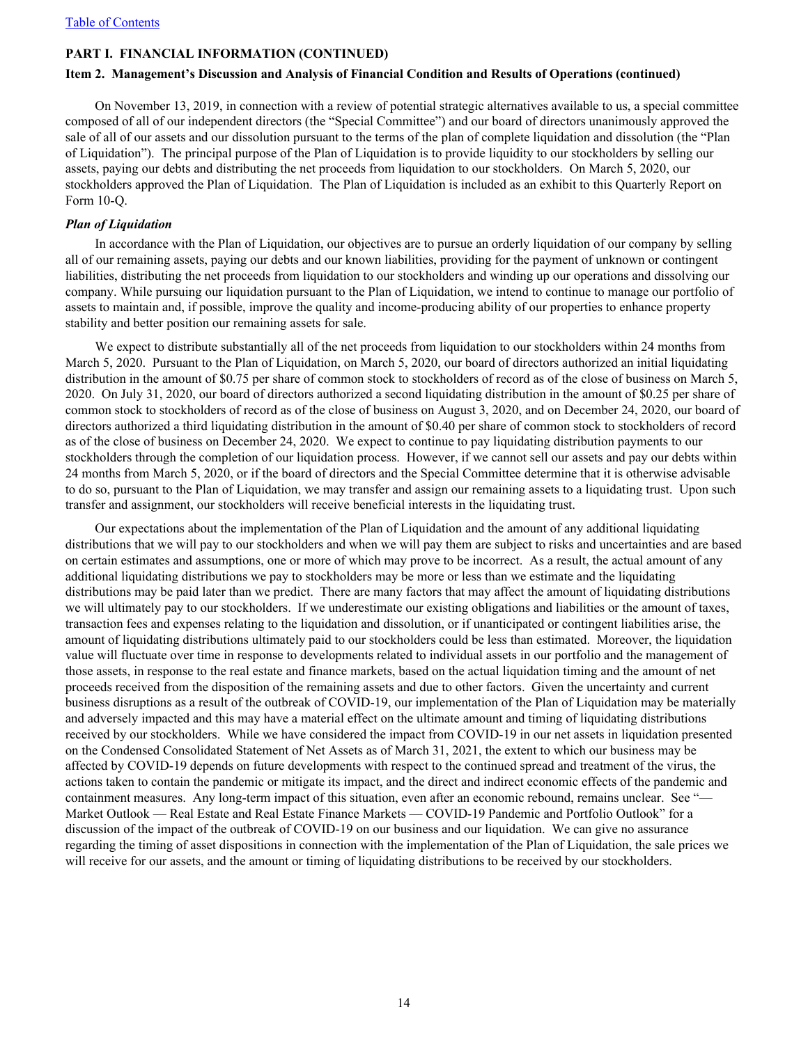# **Item 2. Management's Discussion and Analysis of Financial Condition and Results of Operations (continued)**

On November 13, 2019, in connection with a review of potential strategic alternatives available to us, a special committee composed of all of our independent directors (the "Special Committee") and our board of directors unanimously approved the sale of all of our assets and our dissolution pursuant to the terms of the plan of complete liquidation and dissolution (the "Plan of Liquidation"). The principal purpose of the Plan of Liquidation is to provide liquidity to our stockholders by selling our assets, paying our debts and distributing the net proceeds from liquidation to our stockholders. On March 5, 2020, our stockholders approved the Plan of Liquidation. The Plan of Liquidation is included as an exhibit to this Quarterly Report on Form 10-Q.

#### *Plan of Liquidation*

In accordance with the Plan of Liquidation, our objectives are to pursue an orderly liquidation of our company by selling all of our remaining assets, paying our debts and our known liabilities, providing for the payment of unknown or contingent liabilities, distributing the net proceeds from liquidation to our stockholders and winding up our operations and dissolving our company. While pursuing our liquidation pursuant to the Plan of Liquidation, we intend to continue to manage our portfolio of assets to maintain and, if possible, improve the quality and income-producing ability of our properties to enhance property stability and better position our remaining assets for sale.

We expect to distribute substantially all of the net proceeds from liquidation to our stockholders within 24 months from March 5, 2020. Pursuant to the Plan of Liquidation, on March 5, 2020, our board of directors authorized an initial liquidating distribution in the amount of \$0.75 per share of common stock to stockholders of record as of the close of business on March 5, 2020. On July 31, 2020, our board of directors authorized a second liquidating distribution in the amount of \$0.25 per share of common stock to stockholders of record as of the close of business on August 3, 2020, and on December 24, 2020, our board of directors authorized a third liquidating distribution in the amount of \$0.40 per share of common stock to stockholders of record as of the close of business on December 24, 2020. We expect to continue to pay liquidating distribution payments to our stockholders through the completion of our liquidation process. However, if we cannot sell our assets and pay our debts within 24 months from March 5, 2020, or if the board of directors and the Special Committee determine that it is otherwise advisable to do so, pursuant to the Plan of Liquidation, we may transfer and assign our remaining assets to a liquidating trust. Upon such transfer and assignment, our stockholders will receive beneficial interests in the liquidating trust.

Our expectations about the implementation of the Plan of Liquidation and the amount of any additional liquidating distributions that we will pay to our stockholders and when we will pay them are subject to risks and uncertainties and are based on certain estimates and assumptions, one or more of which may prove to be incorrect. As a result, the actual amount of any additional liquidating distributions we pay to stockholders may be more or less than we estimate and the liquidating distributions may be paid later than we predict. There are many factors that may affect the amount of liquidating distributions we will ultimately pay to our stockholders. If we underestimate our existing obligations and liabilities or the amount of taxes, transaction fees and expenses relating to the liquidation and dissolution, or if unanticipated or contingent liabilities arise, the amount of liquidating distributions ultimately paid to our stockholders could be less than estimated. Moreover, the liquidation value will fluctuate over time in response to developments related to individual assets in our portfolio and the management of those assets, in response to the real estate and finance markets, based on the actual liquidation timing and the amount of net proceeds received from the disposition of the remaining assets and due to other factors. Given the uncertainty and current business disruptions as a result of the outbreak of COVID-19, our implementation of the Plan of Liquidation may be materially and adversely impacted and this may have a material effect on the ultimate amount and timing of liquidating distributions received by our stockholders. While we have considered the impact from COVID-19 in our net assets in liquidation presented on the Condensed Consolidated Statement of Net Assets as of March 31, 2021, the extent to which our business may be affected by COVID-19 depends on future developments with respect to the continued spread and treatment of the virus, the actions taken to contain the pandemic or mitigate its impact, and the direct and indirect economic effects of the pandemic and containment measures. Any long-term impact of this situation, even after an economic rebound, remains unclear. See "-Market Outlook — Real Estate and Real Estate Finance Markets — COVID-19 Pandemic and Portfolio Outlook" for a discussion of the impact of the outbreak of COVID-19 on our business and our liquidation. We can give no assurance regarding the timing of asset dispositions in connection with the implementation of the Plan of Liquidation, the sale prices we will receive for our assets, and the amount or timing of liquidating distributions to be received by our stockholders.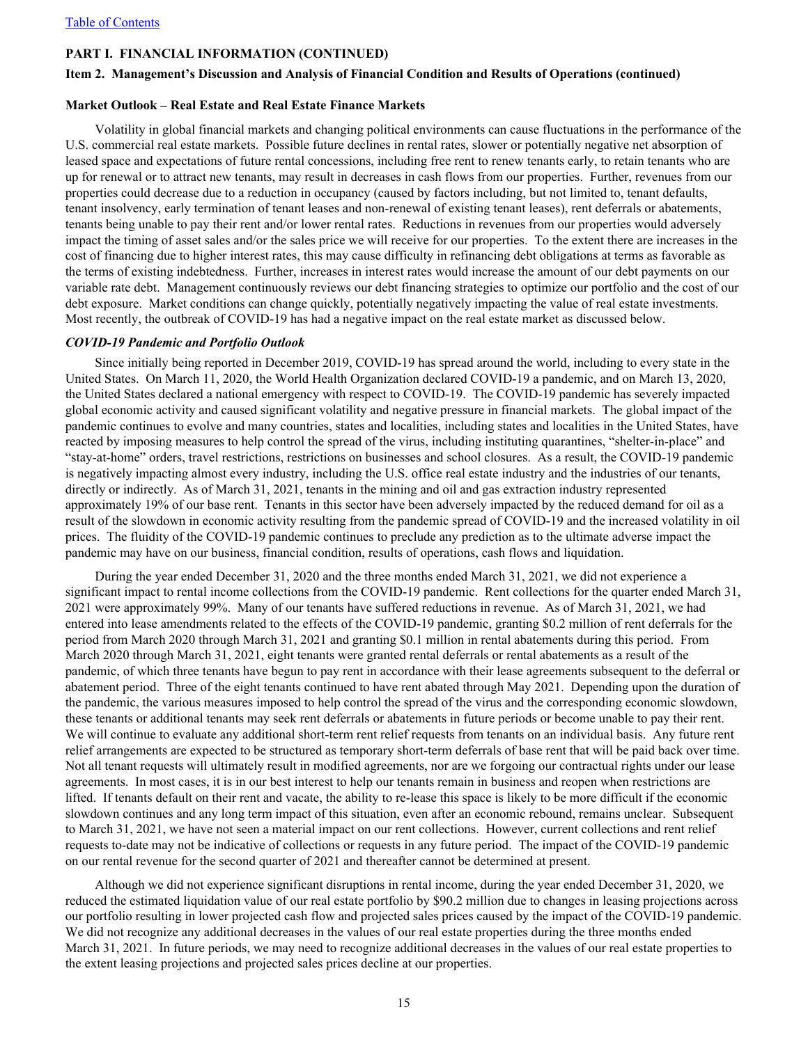### **Item 2. Management's Discussion and Analysis of Financial Condition and Results of Operations (continued)**

#### **Market Outlook – Real Estate and Real Estate Finance Markets**

Volatility in global financial markets and changing political environments can cause fluctuations in the performance of the U.S. commercial real estate markets. Possible future declines in rental rates, slower or potentially negative net absorption of leased space and expectations of future rental concessions, including free rent to renew tenants early, to retain tenants who are up for renewal or to attract new tenants, may result in decreases in cash flows from our properties. Further, revenues from our properties could decrease due to a reduction in occupancy (caused by factors including, but not limited to, tenant defaults, tenant insolvency, early termination of tenant leases and non-renewal of existing tenant leases), rent deferrals or abatements, tenants being unable to pay their rent and/or lower rental rates. Reductions in revenues from our properties would adversely impact the timing of asset sales and/or the sales price we will receive for our properties. To the extent there are increases in the cost of financing due to higher interest rates, this may cause difficulty in refinancing debt obligations at terms as favorable as the terms of existing indebtedness. Further, increases in interest rates would increase the amount of our debt payments on our variable rate debt. Management continuously reviews our debt financing strategies to optimize our portfolio and the cost of our debt exposure. Market conditions can change quickly, potentially negatively impacting the value of real estate investments. Most recently, the outbreak of COVID-19 has had a negative impact on the real estate market as discussed below.

#### *COVID-19 Pandemic and Portfolio Outlook*

Since initially being reported in December 2019, COVID-19 has spread around the world, including to every state in the United States. On March 11, 2020, the World Health Organization declared COVID-19 a pandemic, and on March 13, 2020, the United States declared a national emergency with respect to COVID-19. The COVID-19 pandemic has severely impacted global economic activity and caused significant volatility and negative pressure in financial markets. The global impact of the pandemic continues to evolve and many countries, states and localities, including states and localities in the United States, have reacted by imposing measures to help control the spread of the virus, including instituting quarantines, "shelter-in-place" and "stay-at-home" orders, travel restrictions, restrictions on businesses and school closures. As a result, the COVID-19 pandemic is negatively impacting almost every industry, including the U.S. office real estate industry and the industries of our tenants, directly or indirectly. As of March 31, 2021, tenants in the mining and oil and gas extraction industry represented approximately 19% of our base rent. Tenants in this sector have been adversely impacted by the reduced demand for oil as a result of the slowdown in economic activity resulting from the pandemic spread of COVID-19 and the increased volatility in oil prices. The fluidity of the COVID-19 pandemic continues to preclude any prediction as to the ultimate adverse impact the pandemic may have on our business, financial condition, results of operations, cash flows and liquidation.

During the year ended December 31, 2020 and the three months ended March 31, 2021, we did not experience a significant impact to rental income collections from the COVID-19 pandemic. Rent collections for the quarter ended March 31, 2021 were approximately 99%. Many of our tenants have suffered reductions in revenue. As of March 31, 2021, we had entered into lease amendments related to the effects of the COVID-19 pandemic, granting \$0.2 million of rent deferrals for the period from March 2020 through March 31, 2021 and granting \$0.1 million in rental abatements during this period. From March 2020 through March 31, 2021, eight tenants were granted rental deferrals or rental abatements as a result of the pandemic, of which three tenants have begun to pay rent in accordance with their lease agreements subsequent to the deferral or abatement period. Three of the eight tenants continued to have rent abated through May 2021. Depending upon the duration of the pandemic, the various measures imposed to help control the spread of the virus and the corresponding economic slowdown, these tenants or additional tenants may seek rent deferrals or abatements in future periods or become unable to pay their rent. We will continue to evaluate any additional short-term rent relief requests from tenants on an individual basis. Any future rent relief arrangements are expected to be structured as temporary short-term deferrals of base rent that will be paid back over time. Not all tenant requests will ultimately result in modified agreements, nor are we forgoing our contractual rights under our lease agreements. In most cases, it is in our best interest to help our tenants remain in business and reopen when restrictions are lifted. If tenants default on their rent and vacate, the ability to re-lease this space is likely to be more difficult if the economic slowdown continues and any long term impact of this situation, even after an economic rebound, remains unclear. Subsequent to March 31, 2021, we have not seen a material impact on our rent collections. However, current collections and rent relief requests to-date may not be indicative of collections or requests in any future period. The impact of the COVID-19 pandemic on our rental revenue for the second quarter of 2021 and thereafter cannot be determined at present.

Although we did not experience significant disruptions in rental income, during the year ended December 31, 2020, we reduced the estimated liquidation value of our real estate portfolio by \$90.2 million due to changes in leasing projections across our portfolio resulting in lower projected cash flow and projected sales prices caused by the impact of the COVID-19 pandemic. We did not recognize any additional decreases in the values of our real estate properties during the three months ended March 31, 2021. In future periods, we may need to recognize additional decreases in the values of our real estate properties to the extent leasing projections and projected sales prices decline at our properties.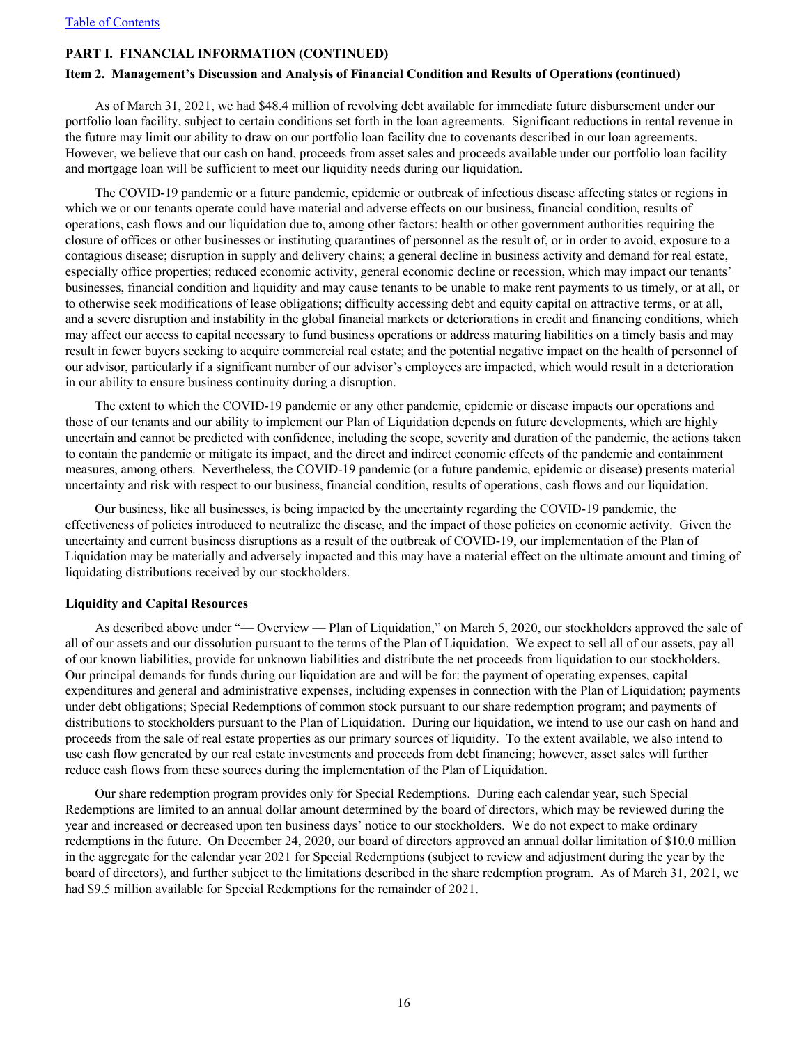# **Item 2. Management's Discussion and Analysis of Financial Condition and Results of Operations (continued)**

As of March 31, 2021, we had \$48.4 million of revolving debt available for immediate future disbursement under our portfolio loan facility, subject to certain conditions set forth in the loan agreements. Significant reductions in rental revenue in the future may limit our ability to draw on our portfolio loan facility due to covenants described in our loan agreements. However, we believe that our cash on hand, proceeds from asset sales and proceeds available under our portfolio loan facility and mortgage loan will be sufficient to meet our liquidity needs during our liquidation.

The COVID-19 pandemic or a future pandemic, epidemic or outbreak of infectious disease affecting states or regions in which we or our tenants operate could have material and adverse effects on our business, financial condition, results of operations, cash flows and our liquidation due to, among other factors: health or other government authorities requiring the closure of offices or other businesses or instituting quarantines of personnel as the result of, or in order to avoid, exposure to a contagious disease; disruption in supply and delivery chains; a general decline in business activity and demand for real estate, especially office properties; reduced economic activity, general economic decline or recession, which may impact our tenants' businesses, financial condition and liquidity and may cause tenants to be unable to make rent payments to us timely, or at all, or to otherwise seek modifications of lease obligations; difficulty accessing debt and equity capital on attractive terms, or at all, and a severe disruption and instability in the global financial markets or deteriorations in credit and financing conditions, which may affect our access to capital necessary to fund business operations or address maturing liabilities on a timely basis and may result in fewer buyers seeking to acquire commercial real estate; and the potential negative impact on the health of personnel of our advisor, particularly if a significant number of our advisor's employees are impacted, which would result in a deterioration in our ability to ensure business continuity during a disruption.

The extent to which the COVID-19 pandemic or any other pandemic, epidemic or disease impacts our operations and those of our tenants and our ability to implement our Plan of Liquidation depends on future developments, which are highly uncertain and cannot be predicted with confidence, including the scope, severity and duration of the pandemic, the actions taken to contain the pandemic or mitigate its impact, and the direct and indirect economic effects of the pandemic and containment measures, among others. Nevertheless, the COVID-19 pandemic (or a future pandemic, epidemic or disease) presents material uncertainty and risk with respect to our business, financial condition, results of operations, cash flows and our liquidation.

Our business, like all businesses, is being impacted by the uncertainty regarding the COVID-19 pandemic, the effectiveness of policies introduced to neutralize the disease, and the impact of those policies on economic activity. Given the uncertainty and current business disruptions as a result of the outbreak of COVID-19, our implementation of the Plan of Liquidation may be materially and adversely impacted and this may have a material effect on the ultimate amount and timing of liquidating distributions received by our stockholders.

#### **Liquidity and Capital Resources**

As described above under "— Overview — Plan of Liquidation," on March 5, 2020, our stockholders approved the sale of all of our assets and our dissolution pursuant to the terms of the Plan of Liquidation. We expect to sell all of our assets, pay all of our known liabilities, provide for unknown liabilities and distribute the net proceeds from liquidation to our stockholders. Our principal demands for funds during our liquidation are and will be for: the payment of operating expenses, capital expenditures and general and administrative expenses, including expenses in connection with the Plan of Liquidation; payments under debt obligations; Special Redemptions of common stock pursuant to our share redemption program; and payments of distributions to stockholders pursuant to the Plan of Liquidation. During our liquidation, we intend to use our cash on hand and proceeds from the sale of real estate properties as our primary sources of liquidity. To the extent available, we also intend to use cash flow generated by our real estate investments and proceeds from debt financing; however, asset sales will further reduce cash flows from these sources during the implementation of the Plan of Liquidation.

Our share redemption program provides only for Special Redemptions. During each calendar year, such Special Redemptions are limited to an annual dollar amount determined by the board of directors, which may be reviewed during the year and increased or decreased upon ten business days' notice to our stockholders. We do not expect to make ordinary redemptions in the future. On December 24, 2020, our board of directors approved an annual dollar limitation of \$10.0 million in the aggregate for the calendar year 2021 for Special Redemptions (subject to review and adjustment during the year by the board of directors), and further subject to the limitations described in the share redemption program. As of March 31, 2021, we had \$9.5 million available for Special Redemptions for the remainder of 2021.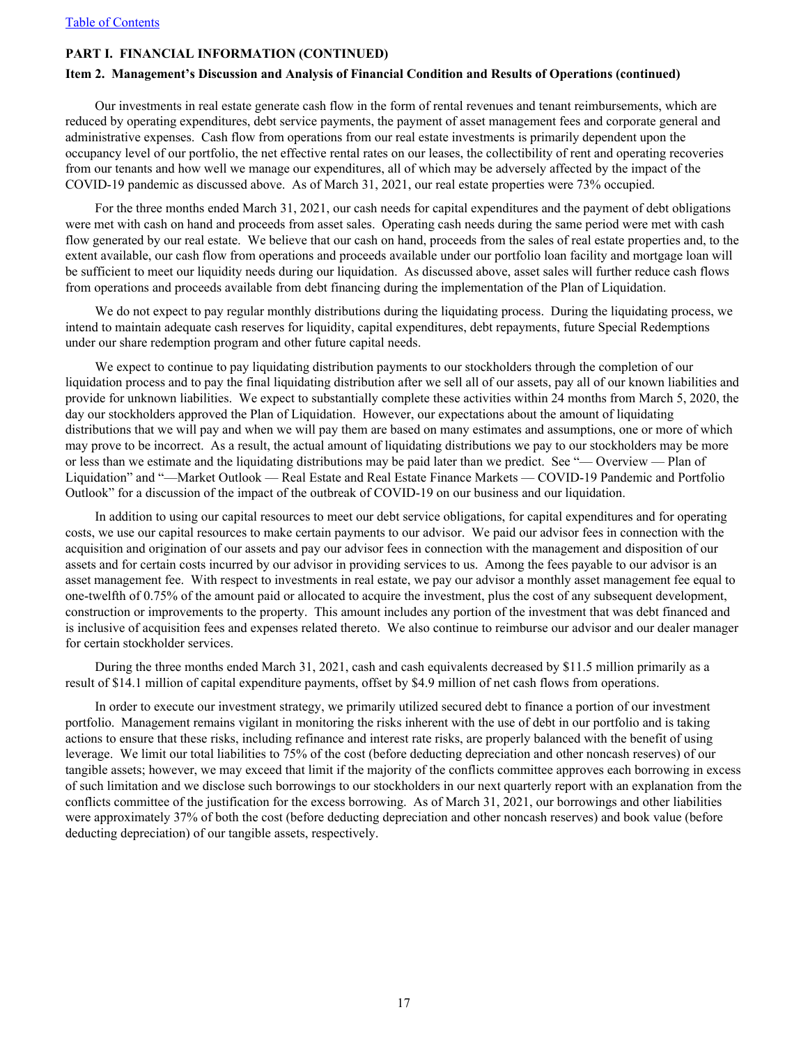# **Item 2. Management's Discussion and Analysis of Financial Condition and Results of Operations (continued)**

Our investments in real estate generate cash flow in the form of rental revenues and tenant reimbursements, which are reduced by operating expenditures, debt service payments, the payment of asset management fees and corporate general and administrative expenses. Cash flow from operations from our real estate investments is primarily dependent upon the occupancy level of our portfolio, the net effective rental rates on our leases, the collectibility of rent and operating recoveries from our tenants and how well we manage our expenditures, all of which may be adversely affected by the impact of the COVID-19 pandemic as discussed above. As of March 31, 2021, our real estate properties were 73% occupied.

For the three months ended March 31, 2021, our cash needs for capital expenditures and the payment of debt obligations were met with cash on hand and proceeds from asset sales. Operating cash needs during the same period were met with cash flow generated by our real estate. We believe that our cash on hand, proceeds from the sales of real estate properties and, to the extent available, our cash flow from operations and proceeds available under our portfolio loan facility and mortgage loan will be sufficient to meet our liquidity needs during our liquidation. As discussed above, asset sales will further reduce cash flows from operations and proceeds available from debt financing during the implementation of the Plan of Liquidation.

We do not expect to pay regular monthly distributions during the liquidating process. During the liquidating process, we intend to maintain adequate cash reserves for liquidity, capital expenditures, debt repayments, future Special Redemptions under our share redemption program and other future capital needs.

We expect to continue to pay liquidating distribution payments to our stockholders through the completion of our liquidation process and to pay the final liquidating distribution after we sell all of our assets, pay all of our known liabilities and provide for unknown liabilities. We expect to substantially complete these activities within 24 months from March 5, 2020, the day our stockholders approved the Plan of Liquidation. However, our expectations about the amount of liquidating distributions that we will pay and when we will pay them are based on many estimates and assumptions, one or more of which may prove to be incorrect. As a result, the actual amount of liquidating distributions we pay to our stockholders may be more or less than we estimate and the liquidating distributions may be paid later than we predict. See "— Overview — Plan of Liquidation" and "—Market Outlook — Real Estate and Real Estate Finance Markets — COVID-19 Pandemic and Portfolio Outlook" for a discussion of the impact of the outbreak of COVID-19 on our business and our liquidation.

In addition to using our capital resources to meet our debt service obligations, for capital expenditures and for operating costs, we use our capital resources to make certain payments to our advisor. We paid our advisor fees in connection with the acquisition and origination of our assets and pay our advisor fees in connection with the management and disposition of our assets and for certain costs incurred by our advisor in providing services to us. Among the fees payable to our advisor is an asset management fee. With respect to investments in real estate, we pay our advisor a monthly asset management fee equal to one-twelfth of 0.75% of the amount paid or allocated to acquire the investment, plus the cost of any subsequent development, construction or improvements to the property. This amount includes any portion of the investment that was debt financed and is inclusive of acquisition fees and expenses related thereto. We also continue to reimburse our advisor and our dealer manager for certain stockholder services.

During the three months ended March 31, 2021, cash and cash equivalents decreased by \$11.5 million primarily as a result of \$14.1 million of capital expenditure payments, offset by \$4.9 million of net cash flows from operations.

In order to execute our investment strategy, we primarily utilized secured debt to finance a portion of our investment portfolio. Management remains vigilant in monitoring the risks inherent with the use of debt in our portfolio and is taking actions to ensure that these risks, including refinance and interest rate risks, are properly balanced with the benefit of using leverage. We limit our total liabilities to 75% of the cost (before deducting depreciation and other noncash reserves) of our tangible assets; however, we may exceed that limit if the majority of the conflicts committee approves each borrowing in excess of such limitation and we disclose such borrowings to our stockholders in our next quarterly report with an explanation from the conflicts committee of the justification for the excess borrowing. As of March 31, 2021, our borrowings and other liabilities were approximately 37% of both the cost (before deducting depreciation and other noncash reserves) and book value (before deducting depreciation) of our tangible assets, respectively.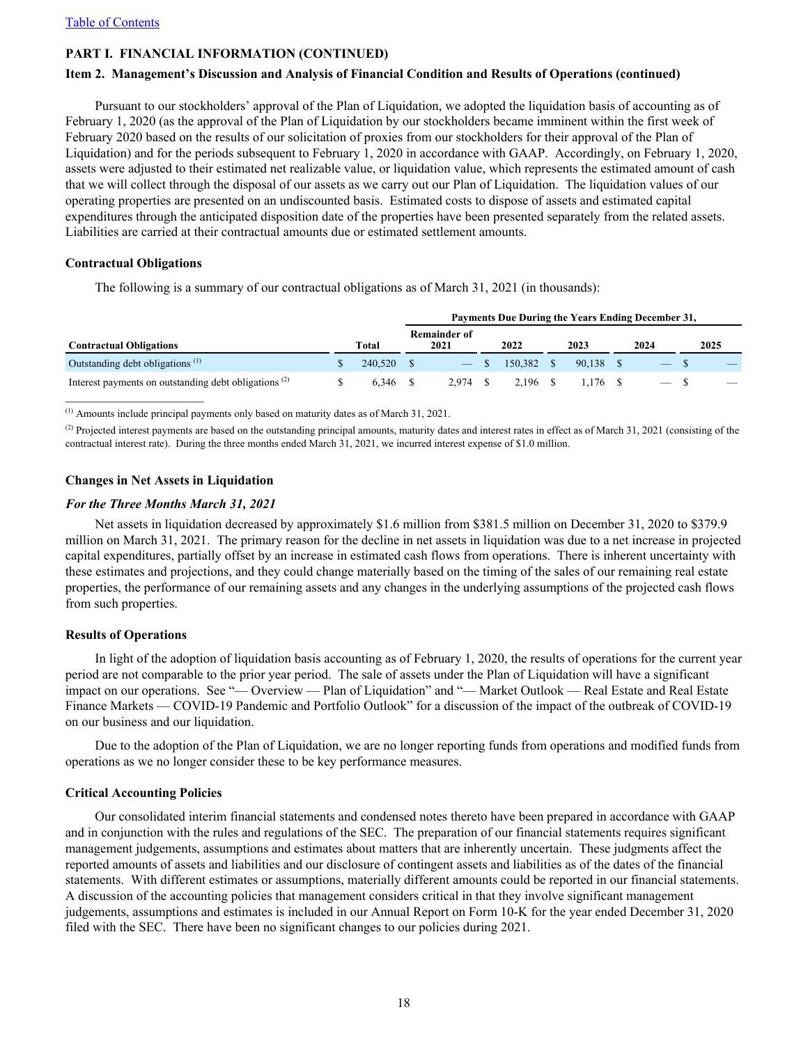# **Item 2. Management's Discussion and Analysis of Financial Condition and Results of Operations (continued)**

Pursuant to our stockholders' approval of the Plan of Liquidation, we adopted the liquidation basis of accounting as of February 1, 2020 (as the approval of the Plan of Liquidation by our stockholders became imminent within the first week of February 2020 based on the results of our solicitation of proxies from our stockholders for their approval of the Plan of Liquidation) and for the periods subsequent to February 1, 2020 in accordance with GAAP. Accordingly, on February 1, 2020, assets were adjusted to their estimated net realizable value, or liquidation value, which represents the estimated amount of cash that we will collect through the disposal of our assets as we carry out our Plan of Liquidation. The liquidation values of our operating properties are presented on an undiscounted basis. Estimated costs to dispose of assets and estimated capital expenditures through the anticipated disposition date of the properties have been presented separately from the related assets. Liabilities are carried at their contractual amounts due or estimated settlement amounts.

#### **Contractual Obligations**

The following is a summary of our contractual obligations as of March 31, 2021 (in thousands):

|                                                         |              |         | Payments Due During the Years Ending December 31, |          |      |            |      |         |      |   |      |  |
|---------------------------------------------------------|--------------|---------|---------------------------------------------------|----------|------|------------|------|---------|------|---|------|--|
| <b>Contractual Obligations</b>                          | <b>Total</b> |         | <b>Remainder of</b><br>2021                       |          | 2022 |            | 2023 |         | 2024 |   | 2025 |  |
| Outstanding debt obligations <sup>(1)</sup>             |              | 240.520 |                                                   |          |      | 150.382 \$ |      | 90.138  |      | — |      |  |
| Interest payments on outstanding debt obligations $(2)$ |              | 6.346   |                                                   | 2.974 \$ |      | $2.196$ \$ |      | 1 1 7 6 |      |   |      |  |

(1) Amounts include principal payments only based on maturity dates as of March 31, 2021.

<sup>(2)</sup> Projected interest payments are based on the outstanding principal amounts, maturity dates and interest rates in effect as of March 31, 2021 (consisting of the contractual interest rate). During the three months ended March 31, 2021, we incurred interest expense of \$1.0 million.

### **Changes in Net Assets in Liquidation**

#### *For the Three Months March 31, 2021*

Net assets in liquidation decreased by approximately \$1.6 million from \$381.5 million on December 31, 2020 to \$379.9 million on March 31, 2021. The primary reason for the decline in net assets in liquidation was due to a net increase in projected capital expenditures, partially offset by an increase in estimated cash flows from operations. There is inherent uncertainty with these estimates and projections, and they could change materially based on the timing of the sales of our remaining real estate properties, the performance of our remaining assets and any changes in the underlying assumptions of the projected cash flows from such properties.

#### **Results of Operations**

In light of the adoption of liquidation basis accounting as of February 1, 2020, the results of operations for the current year period are not comparable to the prior year period. The sale of assets under the Plan of Liquidation will have a significant impact on our operations. See "— Overview — Plan of Liquidation" and "— Market Outlook — Real Estate and Real Estate Finance Markets — COVID-19 Pandemic and Portfolio Outlook" for a discussion of the impact of the outbreak of COVID-19 on our business and our liquidation.

Due to the adoption of the Plan of Liquidation, we are no longer reporting funds from operations and modified funds from operations as we no longer consider these to be key performance measures.

#### **Critical Accounting Policies**

Our consolidated interim financial statements and condensed notes thereto have been prepared in accordance with GAAP and in conjunction with the rules and regulations of the SEC. The preparation of our financial statements requires significant management judgements, assumptions and estimates about matters that are inherently uncertain. These judgments affect the reported amounts of assets and liabilities and our disclosure of contingent assets and liabilities as of the dates of the financial statements. With different estimates or assumptions, materially different amounts could be reported in our financial statements. A discussion of the accounting policies that management considers critical in that they involve significant management judgements, assumptions and estimates is included in our Annual Report on Form 10-K for the year ended December 31, 2020 filed with the SEC. There have been no significant changes to our policies during 2021.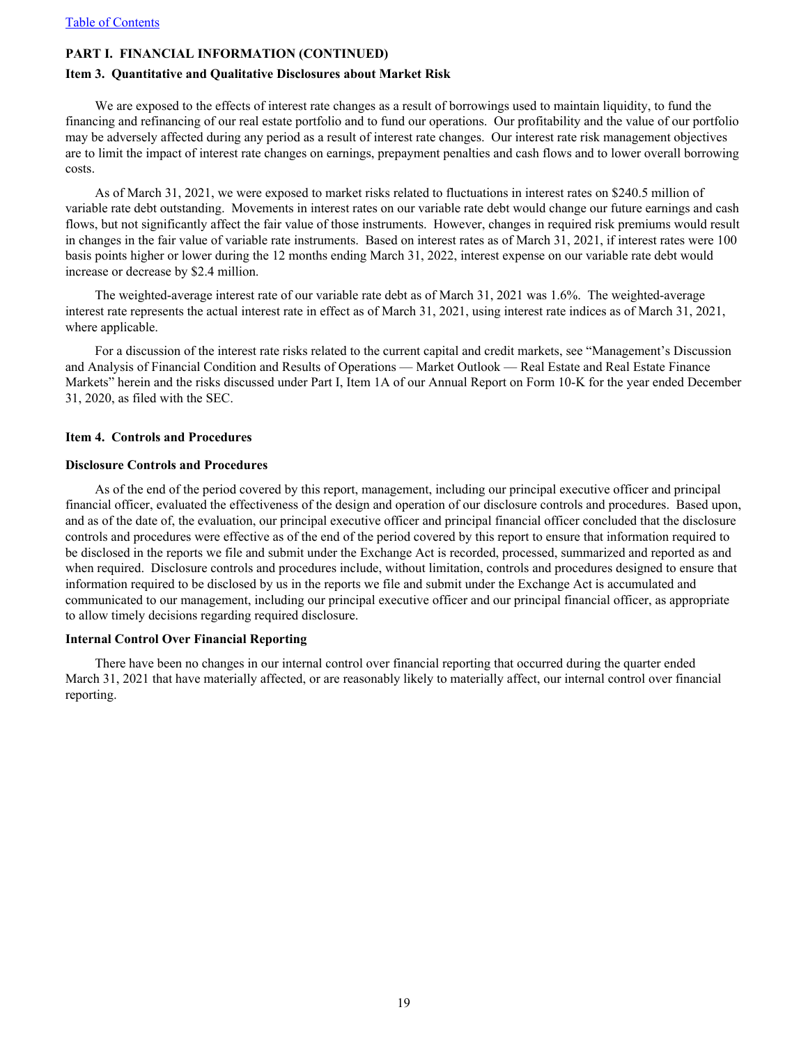#### <span id="page-19-0"></span>**Item 3. Quantitative and Qualitative Disclosures about Market Risk**

We are exposed to the effects of interest rate changes as a result of borrowings used to maintain liquidity, to fund the financing and refinancing of our real estate portfolio and to fund our operations. Our profitability and the value of our portfolio may be adversely affected during any period as a result of interest rate changes. Our interest rate risk management objectives are to limit the impact of interest rate changes on earnings, prepayment penalties and cash flows and to lower overall borrowing costs.

As of March 31, 2021, we were exposed to market risks related to fluctuations in interest rates on \$240.5 million of variable rate debt outstanding. Movements in interest rates on our variable rate debt would change our future earnings and cash flows, but not significantly affect the fair value of those instruments. However, changes in required risk premiums would result in changes in the fair value of variable rate instruments. Based on interest rates as of March 31, 2021, if interest rates were 100 basis points higher or lower during the 12 months ending March 31, 2022, interest expense on our variable rate debt would increase or decrease by \$2.4 million.

The weighted-average interest rate of our variable rate debt as of March 31, 2021 was 1.6%. The weighted-average interest rate represents the actual interest rate in effect as of March 31, 2021, using interest rate indices as of March 31, 2021, where applicable.

For a discussion of the interest rate risks related to the current capital and credit markets, see "Management's Discussion and Analysis of Financial Condition and Results of Operations — Market Outlook — Real Estate and Real Estate Finance Markets" herein and the risks discussed under Part I, Item 1A of our Annual Report on Form 10-K for the year ended December 31, 2020, as filed with the SEC.

#### **Item 4. Controls and Procedures**

#### **Disclosure Controls and Procedures**

As of the end of the period covered by this report, management, including our principal executive officer and principal financial officer, evaluated the effectiveness of the design and operation of our disclosure controls and procedures. Based upon, and as of the date of, the evaluation, our principal executive officer and principal financial officer concluded that the disclosure controls and procedures were effective as of the end of the period covered by this report to ensure that information required to be disclosed in the reports we file and submit under the Exchange Act is recorded, processed, summarized and reported as and when required. Disclosure controls and procedures include, without limitation, controls and procedures designed to ensure that information required to be disclosed by us in the reports we file and submit under the Exchange Act is accumulated and communicated to our management, including our principal executive officer and our principal financial officer, as appropriate to allow timely decisions regarding required disclosure.

#### **Internal Control Over Financial Reporting**

There have been no changes in our internal control over financial reporting that occurred during the quarter ended March 31, 2021 that have materially affected, or are reasonably likely to materially affect, our internal control over financial reporting.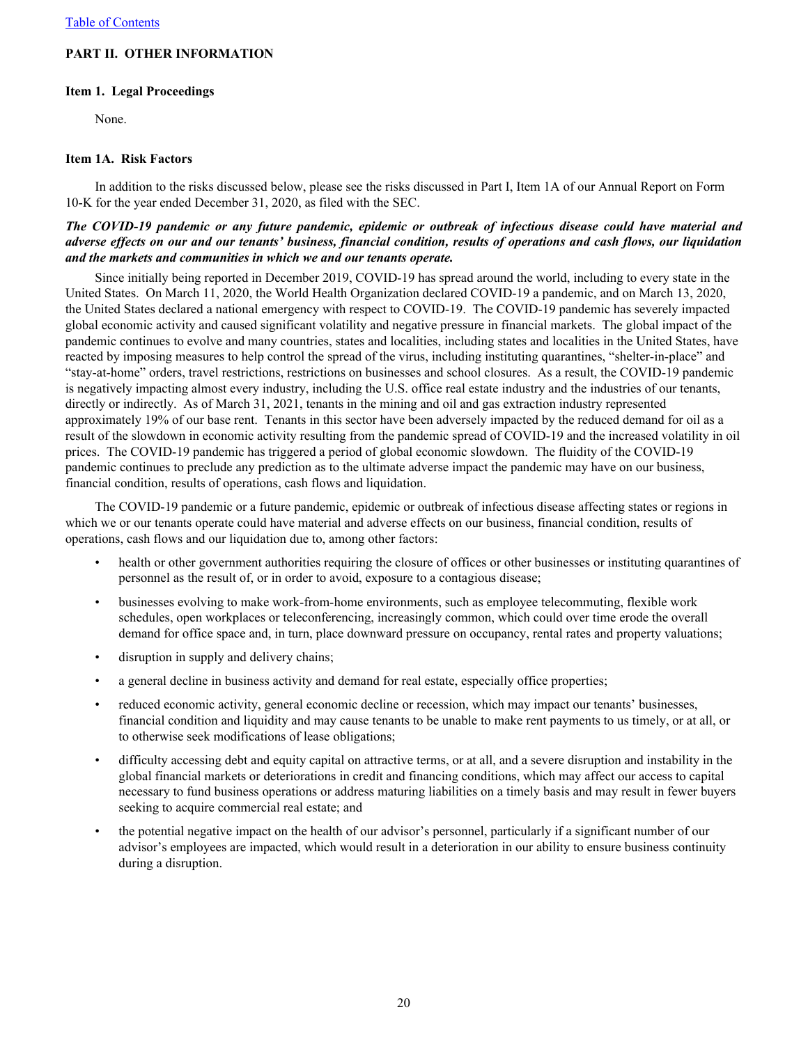# <span id="page-20-0"></span>**PART II. OTHER INFORMATION**

### **Item 1. Legal Proceedings**

None.

#### **Item 1A. Risk Factors**

In addition to the risks discussed below, please see the risks discussed in Part I, Item 1A of our Annual Report on Form 10-K for the year ended December 31, 2020, as filed with the SEC.

# *The COVID-19 pandemic or any future pandemic, epidemic or outbreak of infectious disease could have material and adverse effects on our and our tenants' business, financial condition, results of operations and cash flows, our liquidation and the markets and communities in which we and our tenants operate.*

Since initially being reported in December 2019, COVID-19 has spread around the world, including to every state in the United States. On March 11, 2020, the World Health Organization declared COVID-19 a pandemic, and on March 13, 2020, the United States declared a national emergency with respect to COVID-19. The COVID-19 pandemic has severely impacted global economic activity and caused significant volatility and negative pressure in financial markets. The global impact of the pandemic continues to evolve and many countries, states and localities, including states and localities in the United States, have reacted by imposing measures to help control the spread of the virus, including instituting quarantines, "shelter-in-place" and "stay-at-home" orders, travel restrictions, restrictions on businesses and school closures. As a result, the COVID-19 pandemic is negatively impacting almost every industry, including the U.S. office real estate industry and the industries of our tenants, directly or indirectly. As of March 31, 2021, tenants in the mining and oil and gas extraction industry represented approximately 19% of our base rent. Tenants in this sector have been adversely impacted by the reduced demand for oil as a result of the slowdown in economic activity resulting from the pandemic spread of COVID-19 and the increased volatility in oil prices. The COVID-19 pandemic has triggered a period of global economic slowdown. The fluidity of the COVID-19 pandemic continues to preclude any prediction as to the ultimate adverse impact the pandemic may have on our business, financial condition, results of operations, cash flows and liquidation.

The COVID-19 pandemic or a future pandemic, epidemic or outbreak of infectious disease affecting states or regions in which we or our tenants operate could have material and adverse effects on our business, financial condition, results of operations, cash flows and our liquidation due to, among other factors:

- health or other government authorities requiring the closure of offices or other businesses or instituting quarantines of personnel as the result of, or in order to avoid, exposure to a contagious disease;
- businesses evolving to make work-from-home environments, such as employee telecommuting, flexible work schedules, open workplaces or teleconferencing, increasingly common, which could over time erode the overall demand for office space and, in turn, place downward pressure on occupancy, rental rates and property valuations;
- disruption in supply and delivery chains;
- a general decline in business activity and demand for real estate, especially office properties;
- reduced economic activity, general economic decline or recession, which may impact our tenants' businesses, financial condition and liquidity and may cause tenants to be unable to make rent payments to us timely, or at all, or to otherwise seek modifications of lease obligations;
- difficulty accessing debt and equity capital on attractive terms, or at all, and a severe disruption and instability in the global financial markets or deteriorations in credit and financing conditions, which may affect our access to capital necessary to fund business operations or address maturing liabilities on a timely basis and may result in fewer buyers seeking to acquire commercial real estate; and
- the potential negative impact on the health of our advisor's personnel, particularly if a significant number of our advisor's employees are impacted, which would result in a deterioration in our ability to ensure business continuity during a disruption.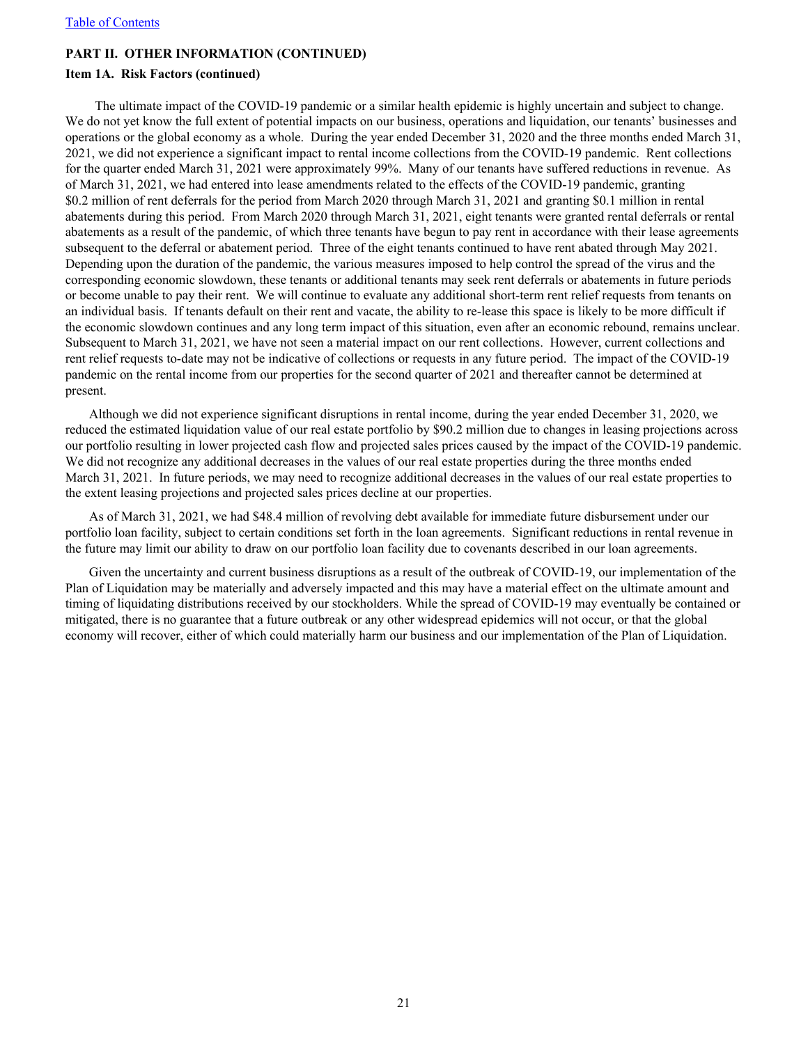### **Item 1A. Risk Factors (continued)**

The ultimate impact of the COVID-19 pandemic or a similar health epidemic is highly uncertain and subject to change. We do not yet know the full extent of potential impacts on our business, operations and liquidation, our tenants' businesses and operations or the global economy as a whole. During the year ended December 31, 2020 and the three months ended March 31, 2021, we did not experience a significant impact to rental income collections from the COVID-19 pandemic. Rent collections for the quarter ended March 31, 2021 were approximately 99%. Many of our tenants have suffered reductions in revenue. As of March 31, 2021, we had entered into lease amendments related to the effects of the COVID-19 pandemic, granting \$0.2 million of rent deferrals for the period from March 2020 through March 31, 2021 and granting \$0.1 million in rental abatements during this period. From March 2020 through March 31, 2021, eight tenants were granted rental deferrals or rental abatements as a result of the pandemic, of which three tenants have begun to pay rent in accordance with their lease agreements subsequent to the deferral or abatement period. Three of the eight tenants continued to have rent abated through May 2021. Depending upon the duration of the pandemic, the various measures imposed to help control the spread of the virus and the corresponding economic slowdown, these tenants or additional tenants may seek rent deferrals or abatements in future periods or become unable to pay their rent. We will continue to evaluate any additional short-term rent relief requests from tenants on an individual basis. If tenants default on their rent and vacate, the ability to re-lease this space is likely to be more difficult if the economic slowdown continues and any long term impact of this situation, even after an economic rebound, remains unclear. Subsequent to March 31, 2021, we have not seen a material impact on our rent collections. However, current collections and rent relief requests to-date may not be indicative of collections or requests in any future period. The impact of the COVID-19 pandemic on the rental income from our properties for the second quarter of 2021 and thereafter cannot be determined at present.

Although we did not experience significant disruptions in rental income, during the year ended December 31, 2020, we reduced the estimated liquidation value of our real estate portfolio by \$90.2 million due to changes in leasing projections across our portfolio resulting in lower projected cash flow and projected sales prices caused by the impact of the COVID-19 pandemic. We did not recognize any additional decreases in the values of our real estate properties during the three months ended March 31, 2021. In future periods, we may need to recognize additional decreases in the values of our real estate properties to the extent leasing projections and projected sales prices decline at our properties.

As of March 31, 2021, we had \$48.4 million of revolving debt available for immediate future disbursement under our portfolio loan facility, subject to certain conditions set forth in the loan agreements. Significant reductions in rental revenue in the future may limit our ability to draw on our portfolio loan facility due to covenants described in our loan agreements.

Given the uncertainty and current business disruptions as a result of the outbreak of COVID-19, our implementation of the Plan of Liquidation may be materially and adversely impacted and this may have a material effect on the ultimate amount and timing of liquidating distributions received by our stockholders. While the spread of COVID-19 may eventually be contained or mitigated, there is no guarantee that a future outbreak or any other widespread epidemics will not occur, or that the global economy will recover, either of which could materially harm our business and our implementation of the Plan of Liquidation.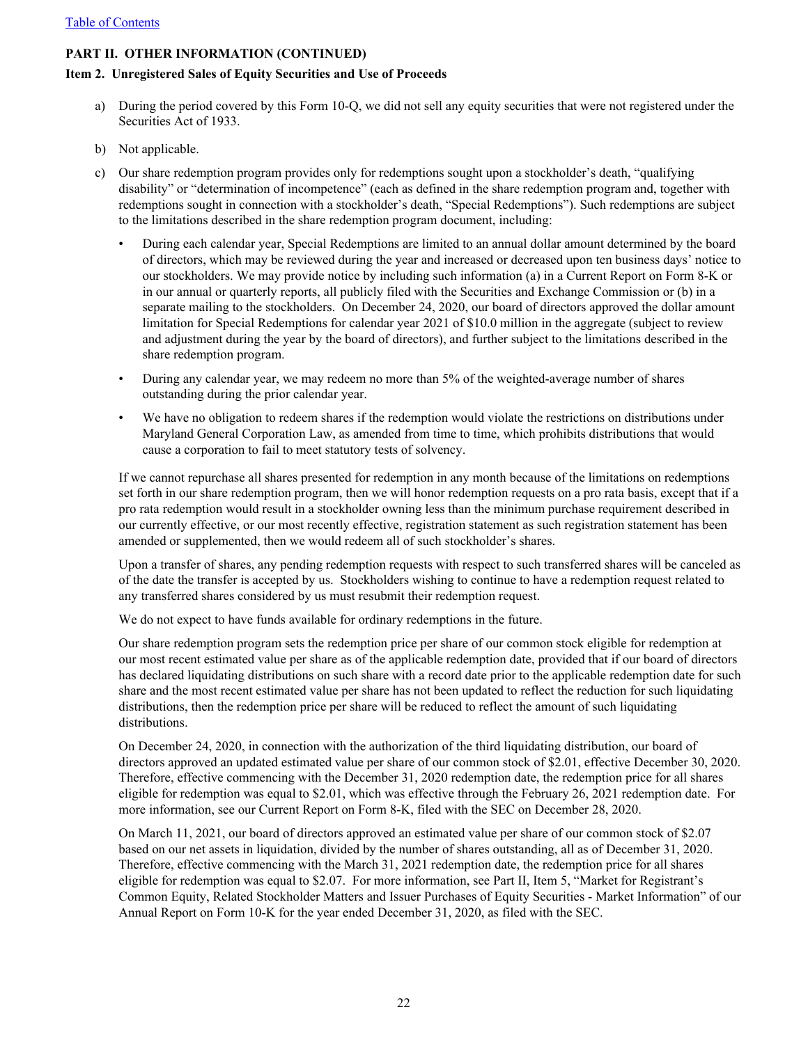# <span id="page-22-0"></span>**Item 2. Unregistered Sales of Equity Securities and Use of Proceeds**

- a) During the period covered by this Form 10-Q, we did not sell any equity securities that were not registered under the Securities Act of 1933.
- b) Not applicable.
- c) Our share redemption program provides only for redemptions sought upon a stockholder's death, "qualifying disability" or "determination of incompetence" (each as defined in the share redemption program and, together with redemptions sought in connection with a stockholder's death, "Special Redemptions"). Such redemptions are subject to the limitations described in the share redemption program document, including:
	- During each calendar year, Special Redemptions are limited to an annual dollar amount determined by the board of directors, which may be reviewed during the year and increased or decreased upon ten business days' notice to our stockholders. We may provide notice by including such information (a) in a Current Report on Form 8-K or in our annual or quarterly reports, all publicly filed with the Securities and Exchange Commission or (b) in a separate mailing to the stockholders. On December 24, 2020, our board of directors approved the dollar amount limitation for Special Redemptions for calendar year 2021 of \$10.0 million in the aggregate (subject to review and adjustment during the year by the board of directors), and further subject to the limitations described in the share redemption program.
	- During any calendar year, we may redeem no more than 5% of the weighted-average number of shares outstanding during the prior calendar year.
	- We have no obligation to redeem shares if the redemption would violate the restrictions on distributions under Maryland General Corporation Law, as amended from time to time, which prohibits distributions that would cause a corporation to fail to meet statutory tests of solvency.

If we cannot repurchase all shares presented for redemption in any month because of the limitations on redemptions set forth in our share redemption program, then we will honor redemption requests on a pro rata basis, except that if a pro rata redemption would result in a stockholder owning less than the minimum purchase requirement described in our currently effective, or our most recently effective, registration statement as such registration statement has been amended or supplemented, then we would redeem all of such stockholder's shares.

Upon a transfer of shares, any pending redemption requests with respect to such transferred shares will be canceled as of the date the transfer is accepted by us. Stockholders wishing to continue to have a redemption request related to any transferred shares considered by us must resubmit their redemption request.

We do not expect to have funds available for ordinary redemptions in the future.

Our share redemption program sets the redemption price per share of our common stock eligible for redemption at our most recent estimated value per share as of the applicable redemption date, provided that if our board of directors has declared liquidating distributions on such share with a record date prior to the applicable redemption date for such share and the most recent estimated value per share has not been updated to reflect the reduction for such liquidating distributions, then the redemption price per share will be reduced to reflect the amount of such liquidating distributions.

On December 24, 2020, in connection with the authorization of the third liquidating distribution, our board of directors approved an updated estimated value per share of our common stock of \$2.01, effective December 30, 2020. Therefore, effective commencing with the December 31, 2020 redemption date, the redemption price for all shares eligible for redemption was equal to \$2.01, which was effective through the February 26, 2021 redemption date. For more information, see our Current Report on Form 8-K, filed with the SEC on December 28, 2020.

On March 11, 2021, our board of directors approved an estimated value per share of our common stock of \$2.07 based on our net assets in liquidation, divided by the number of shares outstanding, all as of December 31, 2020. Therefore, effective commencing with the March 31, 2021 redemption date, the redemption price for all shares eligible for redemption was equal to \$2.07. For more information, see Part II, Item 5, "Market for Registrant's Common Equity, Related Stockholder Matters and Issuer Purchases of Equity Securities - Market Information" of our Annual Report on Form 10-K for the year ended December 31, 2020, as filed with the SEC.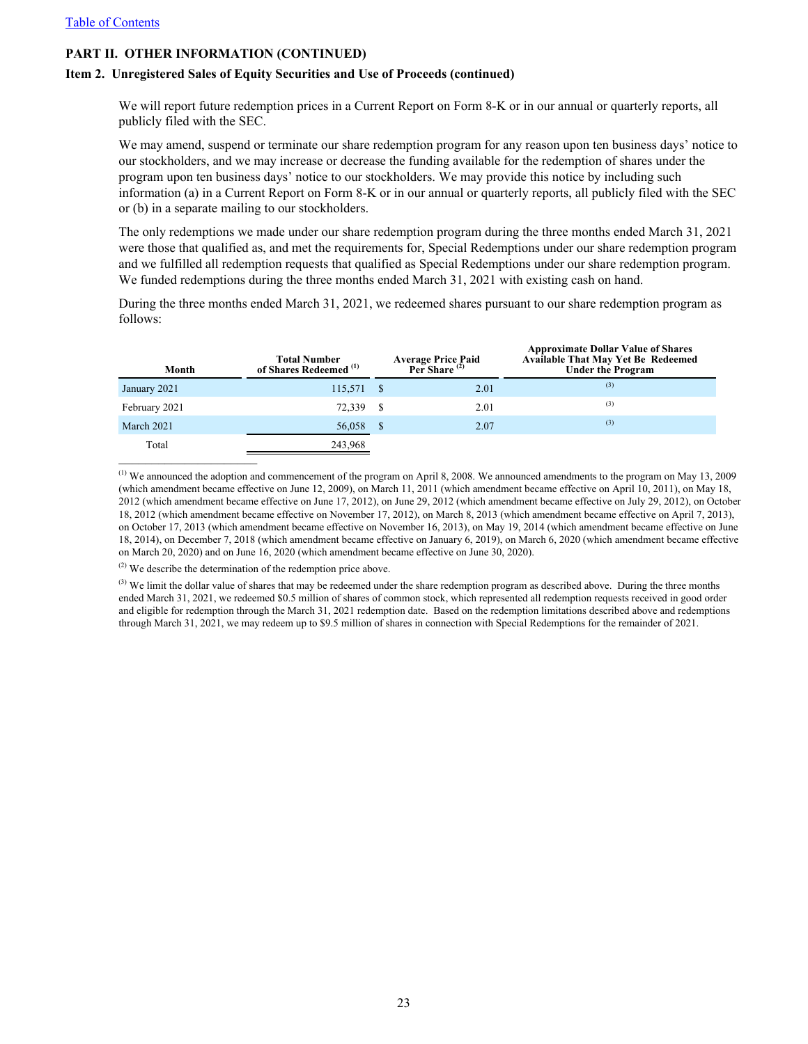#### **Item 2. Unregistered Sales of Equity Securities and Use of Proceeds (continued)**

We will report future redemption prices in a Current Report on Form 8-K or in our annual or quarterly reports, all publicly filed with the SEC.

We may amend, suspend or terminate our share redemption program for any reason upon ten business days' notice to our stockholders, and we may increase or decrease the funding available for the redemption of shares under the program upon ten business days' notice to our stockholders. We may provide this notice by including such information (a) in a Current Report on Form 8-K or in our annual or quarterly reports, all publicly filed with the SEC or (b) in a separate mailing to our stockholders.

The only redemptions we made under our share redemption program during the three months ended March 31, 2021 were those that qualified as, and met the requirements for, Special Redemptions under our share redemption program and we fulfilled all redemption requests that qualified as Special Redemptions under our share redemption program. We funded redemptions during the three months ended March 31, 2021 with existing cash on hand.

During the three months ended March 31, 2021, we redeemed shares pursuant to our share redemption program as follows:

| Month         | <b>Total Number</b><br>of Shares Redeemed <sup>(1)</sup> |      | <b>Average Price Paid<br/>Per Share</b> <sup>(2)</sup> | <b>Approximate Dollar Value of Shares</b><br><b>Available That May Yet Be Redeemed</b><br><b>Under the Program</b> |
|---------------|----------------------------------------------------------|------|--------------------------------------------------------|--------------------------------------------------------------------------------------------------------------------|
| January 2021  | 115,571                                                  | - \$ | 2.01                                                   | (3)                                                                                                                |
| February 2021 | 72.339                                                   | - S  | 2.01                                                   | (3)                                                                                                                |
| March 2021    | 56,058                                                   |      | 2.07                                                   | (3)                                                                                                                |
| Total         | 243,968                                                  |      |                                                        |                                                                                                                    |
|               |                                                          |      |                                                        |                                                                                                                    |

(1) We announced the adoption and commencement of the program on April 8, 2008. We announced amendments to the program on May 13, 2009 (which amendment became effective on June 12, 2009), on March 11, 2011 (which amendment became effective on April 10, 2011), on May 18, 2012 (which amendment became effective on June 17, 2012), on June 29, 2012 (which amendment became effective on July 29, 2012), on October 18, 2012 (which amendment became effective on November 17, 2012), on March 8, 2013 (which amendment became effective on April 7, 2013), on October 17, 2013 (which amendment became effective on November 16, 2013), on May 19, 2014 (which amendment became effective on June 18, 2014), on December 7, 2018 (which amendment became effective on January 6, 2019), on March 6, 2020 (which amendment became effective on March 20, 2020) and on June 16, 2020 (which amendment became effective on June 30, 2020).

(2) We describe the determination of the redemption price above.

<sup>(3)</sup> We limit the dollar value of shares that may be redeemed under the share redemption program as described above. During the three months ended March 31, 2021, we redeemed \$0.5 million of shares of common stock, which represented all redemption requests received in good order and eligible for redemption through the March 31, 2021 redemption date. Based on the redemption limitations described above and redemptions through March 31, 2021, we may redeem up to \$9.5 million of shares in connection with Special Redemptions for the remainder of 2021.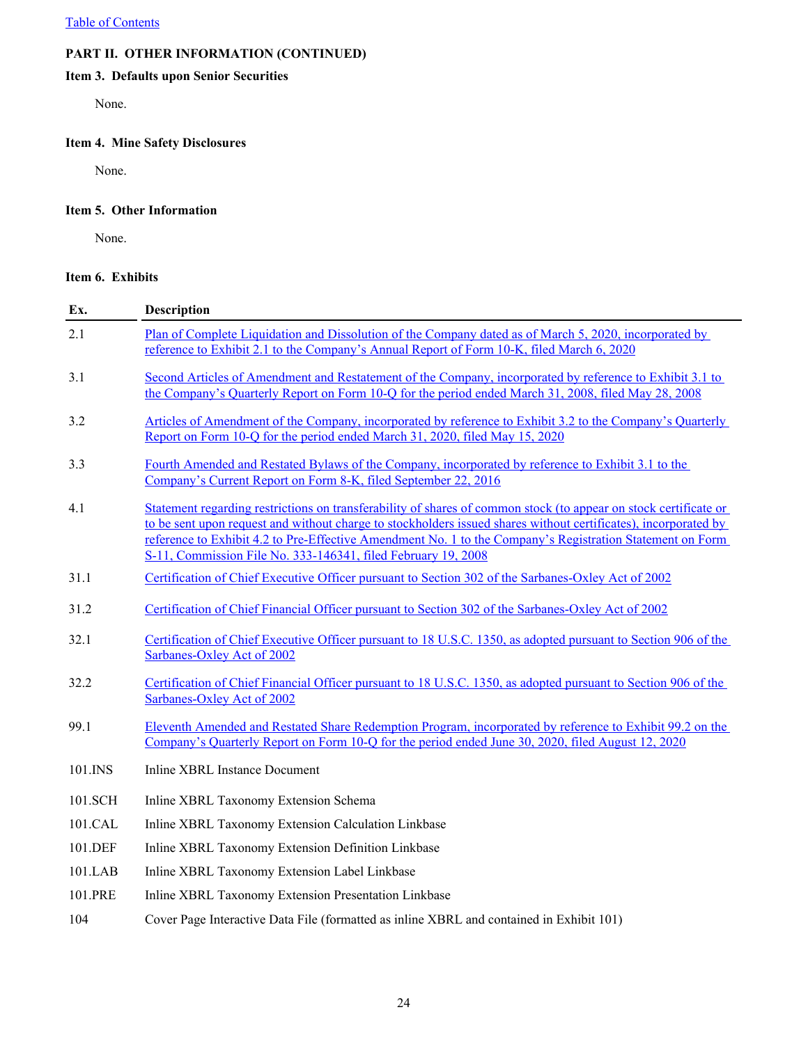# <span id="page-24-0"></span>**Item 3. Defaults upon Senior Securities**

None.

# **Item 4. Mine Safety Disclosures**

None.

### **Item 5. Other Information**

None.

# **Item 6. Exhibits**

| Ex.     | <b>Description</b>                                                                                                                                                                                                                                                                                                                                                                                                |
|---------|-------------------------------------------------------------------------------------------------------------------------------------------------------------------------------------------------------------------------------------------------------------------------------------------------------------------------------------------------------------------------------------------------------------------|
| 2.1     | Plan of Complete Liquidation and Dissolution of the Company dated as of March 5, 2020, incorporated by<br>reference to Exhibit 2.1 to the Company's Annual Report of Form 10-K, filed March 6, 2020                                                                                                                                                                                                               |
| 3.1     | Second Articles of Amendment and Restatement of the Company, incorporated by reference to Exhibit 3.1 to<br>the Company's Quarterly Report on Form 10-Q for the period ended March 31, 2008, filed May 28, 2008                                                                                                                                                                                                   |
| 3.2     | Articles of Amendment of the Company, incorporated by reference to Exhibit 3.2 to the Company's Quarterly<br>Report on Form 10-Q for the period ended March 31, 2020, filed May 15, 2020                                                                                                                                                                                                                          |
| 3.3     | Fourth Amended and Restated Bylaws of the Company, incorporated by reference to Exhibit 3.1 to the<br>Company's Current Report on Form 8-K, filed September 22, 2016                                                                                                                                                                                                                                              |
| 4.1     | Statement regarding restrictions on transferability of shares of common stock (to appear on stock certificate or<br>to be sent upon request and without charge to stockholders issued shares without certificates), incorporated by<br>reference to Exhibit 4.2 to Pre-Effective Amendment No. 1 to the Company's Registration Statement on Form<br>S-11, Commission File No. 333-146341, filed February 19, 2008 |
| 31.1    | Certification of Chief Executive Officer pursuant to Section 302 of the Sarbanes-Oxley Act of 2002                                                                                                                                                                                                                                                                                                                |
| 31.2    | Certification of Chief Financial Officer pursuant to Section 302 of the Sarbanes-Oxley Act of 2002                                                                                                                                                                                                                                                                                                                |
| 32.1    | Certification of Chief Executive Officer pursuant to 18 U.S.C. 1350, as adopted pursuant to Section 906 of the<br>Sarbanes-Oxley Act of 2002                                                                                                                                                                                                                                                                      |
| 32.2    | Certification of Chief Financial Officer pursuant to 18 U.S.C. 1350, as adopted pursuant to Section 906 of the<br>Sarbanes-Oxley Act of 2002                                                                                                                                                                                                                                                                      |
| 99.1    | Eleventh Amended and Restated Share Redemption Program, incorporated by reference to Exhibit 99.2 on the<br>Company's Quarterly Report on Form 10-Q for the period ended June 30, 2020, filed August 12, 2020                                                                                                                                                                                                     |
| 101.INS | <b>Inline XBRL Instance Document</b>                                                                                                                                                                                                                                                                                                                                                                              |
| 101.SCH | Inline XBRL Taxonomy Extension Schema                                                                                                                                                                                                                                                                                                                                                                             |
| 101.CAL | Inline XBRL Taxonomy Extension Calculation Linkbase                                                                                                                                                                                                                                                                                                                                                               |
| 101.DEF | Inline XBRL Taxonomy Extension Definition Linkbase                                                                                                                                                                                                                                                                                                                                                                |
| 101.LAB | Inline XBRL Taxonomy Extension Label Linkbase                                                                                                                                                                                                                                                                                                                                                                     |
| 101.PRE | Inline XBRL Taxonomy Extension Presentation Linkbase                                                                                                                                                                                                                                                                                                                                                              |
| 104     | Cover Page Interactive Data File (formatted as inline XBRL and contained in Exhibit 101)                                                                                                                                                                                                                                                                                                                          |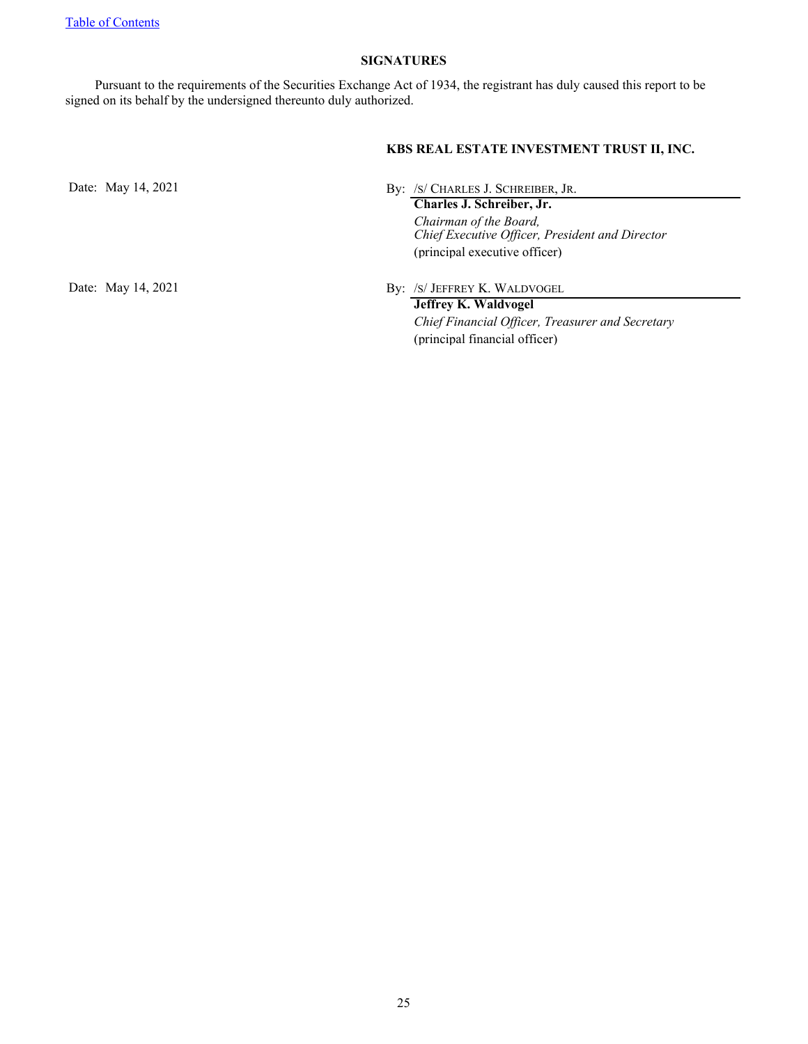# **SIGNATURES**

<span id="page-25-0"></span>Pursuant to the requirements of the Securities Exchange Act of 1934, the registrant has duly caused this report to be signed on its behalf by the undersigned thereunto duly authorized.

# **KBS REAL ESTATE INVESTMENT TRUST II, INC.**

(principal financial officer)

| Date: May 14, 2021 | By: /S/ CHARLES J. SCHREIBER, JR.                                                                          |
|--------------------|------------------------------------------------------------------------------------------------------------|
|                    | Charles J. Schreiber, Jr.                                                                                  |
|                    | Chairman of the Board,<br>Chief Executive Officer, President and Director<br>(principal executive officer) |
| Date: May 14, 2021 | By: /S/ JEFFREY K. WALDVOGEL                                                                               |
|                    | <b>Jeffrey K. Waldvogel</b>                                                                                |
|                    | Chief Financial Officer, Treasurer and Secretary                                                           |

25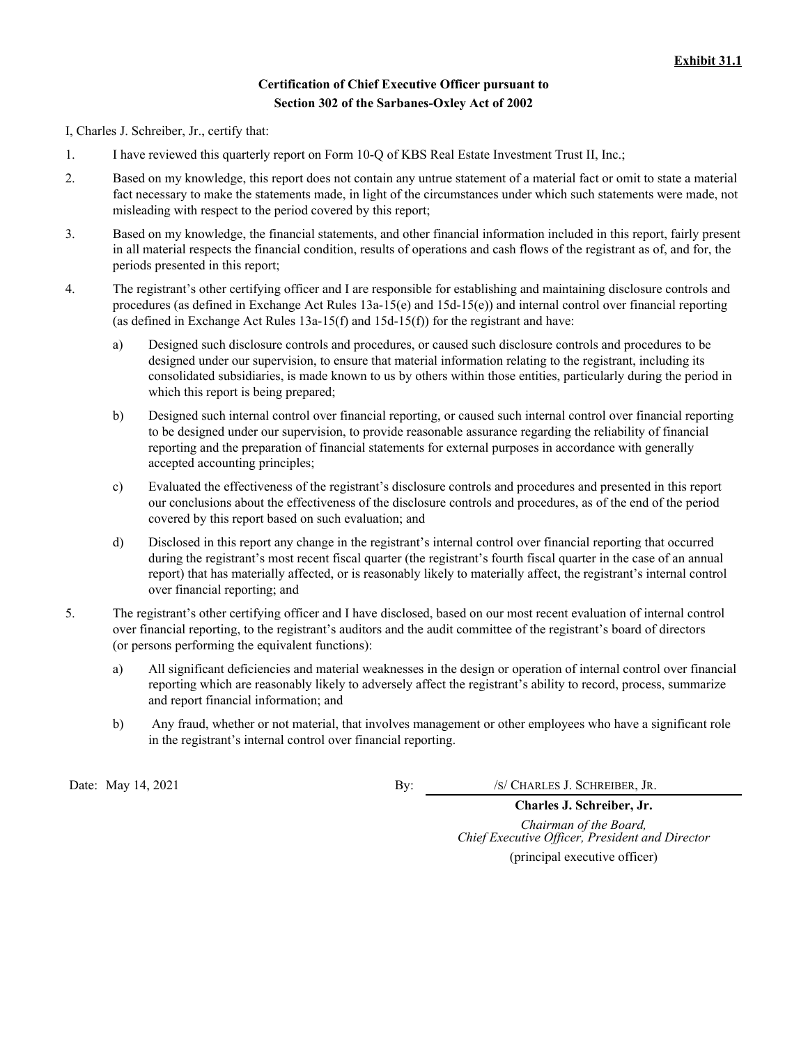# **Certification of Chief Executive Officer pursuant to Section 302 of the Sarbanes-Oxley Act of 2002**

I, Charles J. Schreiber, Jr., certify that:

- 1. I have reviewed this quarterly report on Form 10-Q of KBS Real Estate Investment Trust II, Inc.;
- 2. Based on my knowledge, this report does not contain any untrue statement of a material fact or omit to state a material fact necessary to make the statements made, in light of the circumstances under which such statements were made, not misleading with respect to the period covered by this report;
- 3. Based on my knowledge, the financial statements, and other financial information included in this report, fairly present in all material respects the financial condition, results of operations and cash flows of the registrant as of, and for, the periods presented in this report;
- 4. The registrant's other certifying officer and I are responsible for establishing and maintaining disclosure controls and procedures (as defined in Exchange Act Rules 13a-15(e) and 15d-15(e)) and internal control over financial reporting (as defined in Exchange Act Rules  $13a-15(f)$  and  $15d-15(f)$ ) for the registrant and have:
	- a) Designed such disclosure controls and procedures, or caused such disclosure controls and procedures to be designed under our supervision, to ensure that material information relating to the registrant, including its consolidated subsidiaries, is made known to us by others within those entities, particularly during the period in which this report is being prepared;
	- b) Designed such internal control over financial reporting, or caused such internal control over financial reporting to be designed under our supervision, to provide reasonable assurance regarding the reliability of financial reporting and the preparation of financial statements for external purposes in accordance with generally accepted accounting principles;
	- c) Evaluated the effectiveness of the registrant's disclosure controls and procedures and presented in this report our conclusions about the effectiveness of the disclosure controls and procedures, as of the end of the period covered by this report based on such evaluation; and
	- d) Disclosed in this report any change in the registrant's internal control over financial reporting that occurred during the registrant's most recent fiscal quarter (the registrant's fourth fiscal quarter in the case of an annual report) that has materially affected, or is reasonably likely to materially affect, the registrant's internal control over financial reporting; and
- 5. The registrant's other certifying officer and I have disclosed, based on our most recent evaluation of internal control over financial reporting, to the registrant's auditors and the audit committee of the registrant's board of directors (or persons performing the equivalent functions):
	- a) All significant deficiencies and material weaknesses in the design or operation of internal control over financial reporting which are reasonably likely to adversely affect the registrant's ability to record, process, summarize and report financial information; and
	- b) Any fraud, whether or not material, that involves management or other employees who have a significant role in the registrant's internal control over financial reporting.

Date: May 14, 2021 By: /S/ CHARLES J. SCHREIBER, JR.

**Charles J. Schreiber, Jr.** *Chairman of the Board, Chief Executive Officer, President and Director* (principal executive officer)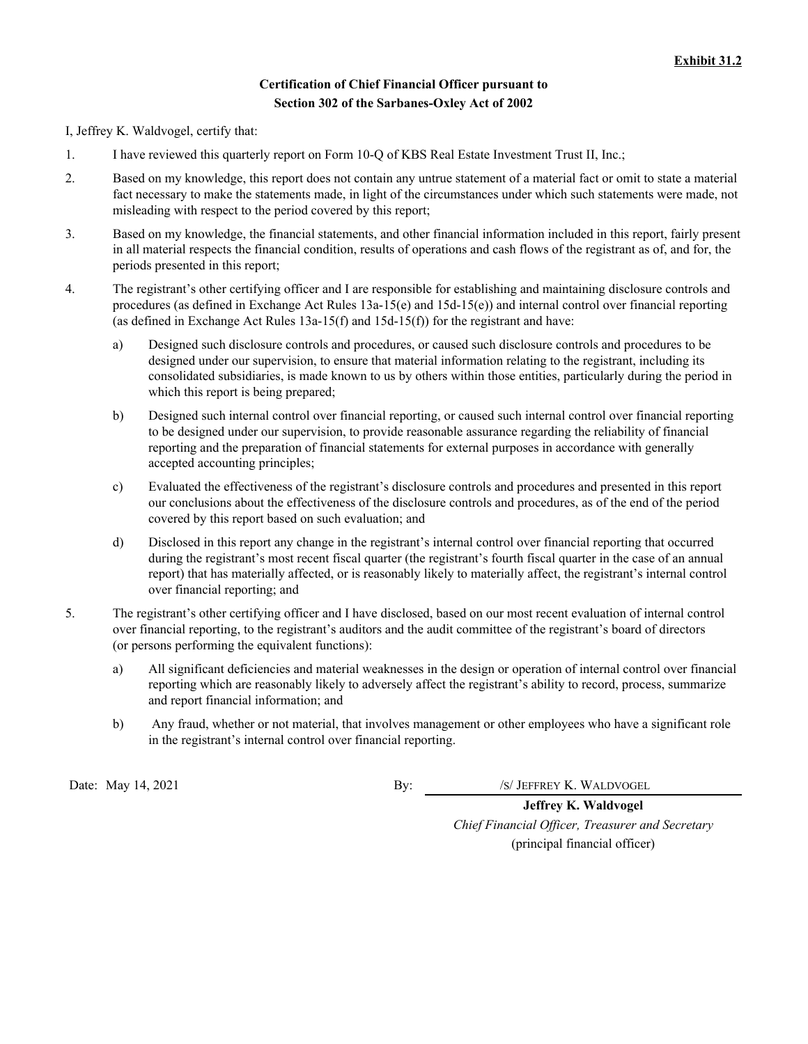# **Certification of Chief Financial Officer pursuant to Section 302 of the Sarbanes-Oxley Act of 2002**

I, Jeffrey K. Waldvogel, certify that:

- 1. I have reviewed this quarterly report on Form 10-Q of KBS Real Estate Investment Trust II, Inc.;
- 2. Based on my knowledge, this report does not contain any untrue statement of a material fact or omit to state a material fact necessary to make the statements made, in light of the circumstances under which such statements were made, not misleading with respect to the period covered by this report;
- 3. Based on my knowledge, the financial statements, and other financial information included in this report, fairly present in all material respects the financial condition, results of operations and cash flows of the registrant as of, and for, the periods presented in this report;
- 4. The registrant's other certifying officer and I are responsible for establishing and maintaining disclosure controls and procedures (as defined in Exchange Act Rules 13a-15(e) and 15d-15(e)) and internal control over financial reporting (as defined in Exchange Act Rules  $13a-15(f)$  and  $15d-15(f)$ ) for the registrant and have:
	- a) Designed such disclosure controls and procedures, or caused such disclosure controls and procedures to be designed under our supervision, to ensure that material information relating to the registrant, including its consolidated subsidiaries, is made known to us by others within those entities, particularly during the period in which this report is being prepared;
	- b) Designed such internal control over financial reporting, or caused such internal control over financial reporting to be designed under our supervision, to provide reasonable assurance regarding the reliability of financial reporting and the preparation of financial statements for external purposes in accordance with generally accepted accounting principles;
	- c) Evaluated the effectiveness of the registrant's disclosure controls and procedures and presented in this report our conclusions about the effectiveness of the disclosure controls and procedures, as of the end of the period covered by this report based on such evaluation; and
	- d) Disclosed in this report any change in the registrant's internal control over financial reporting that occurred during the registrant's most recent fiscal quarter (the registrant's fourth fiscal quarter in the case of an annual report) that has materially affected, or is reasonably likely to materially affect, the registrant's internal control over financial reporting; and
- 5. The registrant's other certifying officer and I have disclosed, based on our most recent evaluation of internal control over financial reporting, to the registrant's auditors and the audit committee of the registrant's board of directors (or persons performing the equivalent functions):
	- a) All significant deficiencies and material weaknesses in the design or operation of internal control over financial reporting which are reasonably likely to adversely affect the registrant's ability to record, process, summarize and report financial information; and
	- b) Any fraud, whether or not material, that involves management or other employees who have a significant role in the registrant's internal control over financial reporting.

Date: May 14, 2021 **By:** By: */S/ JEFFREY K. WALDVOGEL* 

**Jeffrey K. Waldvogel** *Chief Financial Officer, Treasurer and Secretary* (principal financial officer)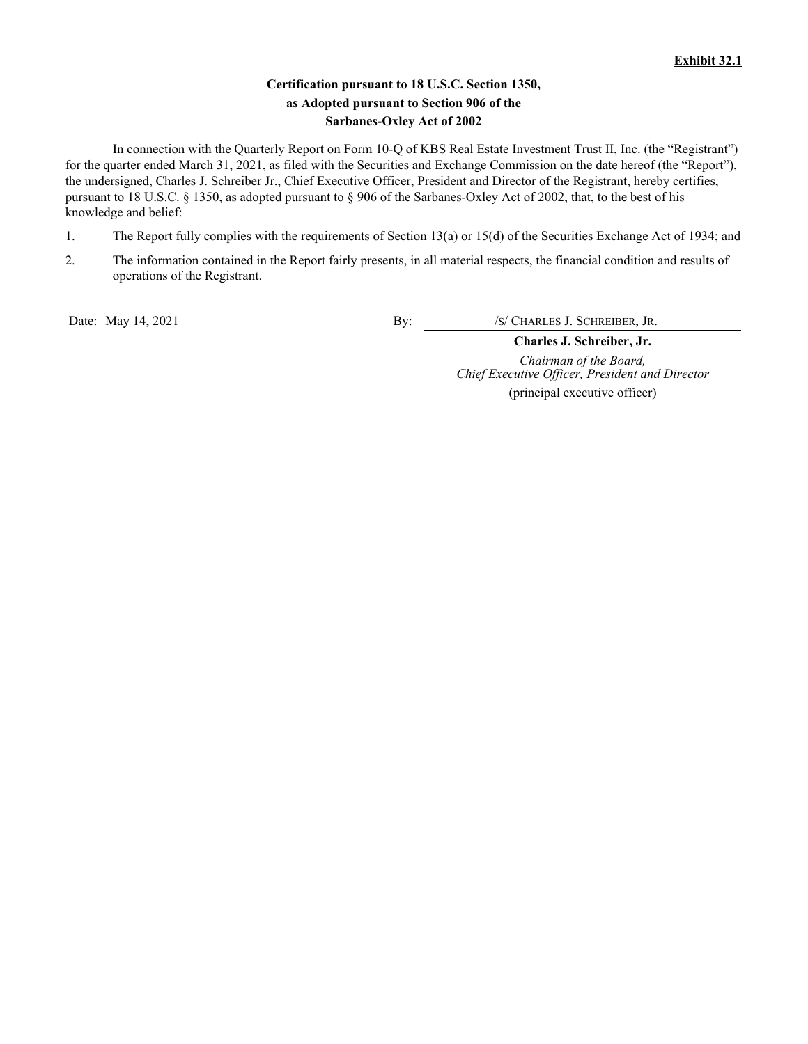# **Certification pursuant to 18 U.S.C. Section 1350, as Adopted pursuant to Section 906 of the Sarbanes-Oxley Act of 2002**

In connection with the Quarterly Report on Form 10-Q of KBS Real Estate Investment Trust II, Inc. (the "Registrant") for the quarter ended March 31, 2021, as filed with the Securities and Exchange Commission on the date hereof (the "Report"), the undersigned, Charles J. Schreiber Jr., Chief Executive Officer, President and Director of the Registrant, hereby certifies, pursuant to 18 U.S.C. § 1350, as adopted pursuant to § 906 of the Sarbanes-Oxley Act of 2002, that, to the best of his knowledge and belief:

- 1. The Report fully complies with the requirements of Section 13(a) or 15(d) of the Securities Exchange Act of 1934; and
- 2. The information contained in the Report fairly presents, in all material respects, the financial condition and results of operations of the Registrant.

Date: May 14, 2021 By: /S/ CHARLES J. SCHREIBER, JR.

**Charles J. Schreiber, Jr.** *Chairman of the Board, Chief Executive Officer, President and Director* (principal executive officer)